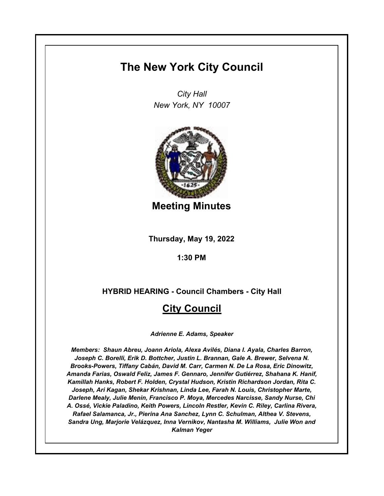# **The New York City Council**

*City Hall New York, NY 10007*



**Meeting Minutes**

**Thursday, May 19, 2022**

**1:30 PM**

## **HYBRID HEARING - Council Chambers - City Hall**

## **City Council**

*Adrienne E. Adams, Speaker*

*Members: Shaun Abreu, Joann Ariola, Alexa Avilés, Diana I. Ayala, Charles Barron, Joseph C. Borelli, Erik D. Bottcher, Justin L. Brannan, Gale A. Brewer, Selvena N. Brooks-Powers, Tiffany Cabán, David M. Carr, Carmen N. De La Rosa, Eric Dinowitz, Amanda Farias, Oswald Feliz, James F. Gennaro, Jennifer Gutiérrez, Shahana K. Hanif, Kamillah Hanks, Robert F. Holden, Crystal Hudson, Kristin Richardson Jordan, Rita C. Joseph, Ari Kagan, Shekar Krishnan, Linda Lee, Farah N. Louis, Christopher Marte, Darlene Mealy, Julie Menin, Francisco P. Moya, Mercedes Narcisse, Sandy Nurse, Chi A. Ossé, Vickie Paladino, Keith Powers, Lincoln Restler, Kevin C. Riley, Carlina Rivera, Rafael Salamanca, Jr., Pierina Ana Sanchez, Lynn C. Schulman, Althea V. Stevens, Sandra Ung, Marjorie Velázquez, Inna Vernikov, Nantasha M. Williams, Julie Won and Kalman Yeger*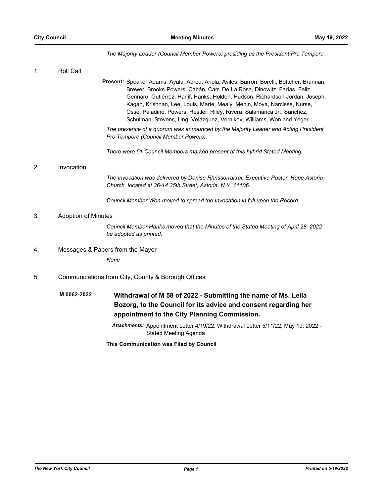*The Majority Leader (Council Member Powers) presiding as the President Pro Tempore.*

| 1. | Roll Call                                          |                                                                                                                                                                                                                                                                                                                                                                                                                                                                                      |
|----|----------------------------------------------------|--------------------------------------------------------------------------------------------------------------------------------------------------------------------------------------------------------------------------------------------------------------------------------------------------------------------------------------------------------------------------------------------------------------------------------------------------------------------------------------|
|    |                                                    | Present: Speaker Adams, Ayala, Abreu, Ariola, Avilés, Barron, Borelli, Bottcher, Brannan,<br>Brewer, Brooks-Powers, Cabán, Carr, De La Rosa, Dinowitz, Farías, Feliz,<br>Gennaro, Gutiérrez, Hanif, Hanks, Holden, Hudson, Richardson Jordan, Joseph,<br>Kagan, Krishnan, Lee, Louis, Marte, Mealy, Menin, Moya, Narcisse, Nurse,<br>Ossé, Paladino, Powers, Restler, Riley, Rivera, Salamanca Jr., Sanchez,<br>Schulman, Stevens, Ung, Velázquez, Vernikov, Williams, Won and Yeger |
|    |                                                    | The presence of a quorum was announced by the Majority Leader and Acting President<br>Pro Tempore (Council Member Powers).                                                                                                                                                                                                                                                                                                                                                           |
|    |                                                    | There were 51 Council Members marked present at this hybrid Stated Meeting.                                                                                                                                                                                                                                                                                                                                                                                                          |
| 2. | Invocation                                         |                                                                                                                                                                                                                                                                                                                                                                                                                                                                                      |
|    |                                                    | The Invocation was delivered by Denise Rhrissorrakrai, Executive Pastor, Hope Astoria<br>Church, located at 36-14 35th Street, Astoria, N.Y. 11106.                                                                                                                                                                                                                                                                                                                                  |
|    |                                                    | Council Member Won moved to spread the Invocation in full upon the Record.                                                                                                                                                                                                                                                                                                                                                                                                           |
| 3. | <b>Adoption of Minutes</b>                         |                                                                                                                                                                                                                                                                                                                                                                                                                                                                                      |
|    |                                                    | Council Member Hanks moved that the Minutes of the Stated Meeting of April 28, 2022<br>be adopted as printed.                                                                                                                                                                                                                                                                                                                                                                        |
| 4. | Messages & Papers from the Mayor                   |                                                                                                                                                                                                                                                                                                                                                                                                                                                                                      |
|    |                                                    | None                                                                                                                                                                                                                                                                                                                                                                                                                                                                                 |
| 5. | Communications from City, County & Borough Offices |                                                                                                                                                                                                                                                                                                                                                                                                                                                                                      |
|    | M 0062-2022                                        | Withdrawal of M 58 of 2022 - Submitting the name of Ms. Leila<br>Bozorg, to the Council for its advice and consent regarding her<br>appointment to the City Planning Commission.<br>Attachments: Appointment Letter 4/19/22, Withdrawal Letter 5/11/22, May 19, 2022 -                                                                                                                                                                                                               |
|    |                                                    | <b>Stated Meeting Agenda</b>                                                                                                                                                                                                                                                                                                                                                                                                                                                         |

**This Communication was Filed by Council**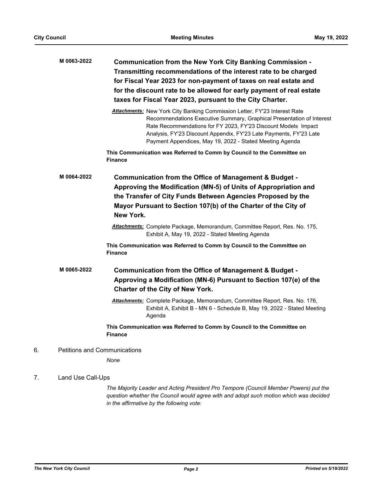|    | M 0063-2022       | Communication from the New York City Banking Commission -<br>Transmitting recommendations of the interest rate to be charged<br>for Fiscal Year 2023 for non-payment of taxes on real estate and<br>for the discount rate to be allowed for early payment of real estate<br>taxes for Fiscal Year 2023, pursuant to the City Charter.                  |
|----|-------------------|--------------------------------------------------------------------------------------------------------------------------------------------------------------------------------------------------------------------------------------------------------------------------------------------------------------------------------------------------------|
|    |                   | Attachments: New York City Banking Commission Letter, FY'23 Interest Rate<br>Recommendations Executive Summary, Graphical Presentation of Interest<br>Rate Recommendations for FY 2023, FY'23 Discount Models Impact<br>Analysis, FY'23 Discount Appendix, FY'23 Late Payments, FY'23 Late<br>Payment Appendices, May 19, 2022 - Stated Meeting Agenda |
|    |                   | This Communication was Referred to Comm by Council to the Committee on<br><b>Finance</b>                                                                                                                                                                                                                                                               |
|    | M 0064-2022       | Communication from the Office of Management & Budget -<br>Approving the Modification (MN-5) of Units of Appropriation and<br>the Transfer of City Funds Between Agencies Proposed by the<br>Mayor Pursuant to Section 107(b) of the Charter of the City of<br>New York.                                                                                |
|    |                   | <b>Attachments:</b> Complete Package, Memorandum, Committee Report, Res. No. 175,<br>Exhibit A, May 19, 2022 - Stated Meeting Agenda                                                                                                                                                                                                                   |
|    |                   | This Communication was Referred to Comm by Council to the Committee on<br><b>Finance</b>                                                                                                                                                                                                                                                               |
|    | M 0065-2022       | Communication from the Office of Management & Budget -<br>Approving a Modification (MN-6) Pursuant to Section 107(e) of the<br>Charter of the City of New York.                                                                                                                                                                                        |
|    |                   | Attachments: Complete Package, Memorandum, Committee Report, Res. No. 176,<br>Exhibit A, Exhibit B - MN 6 - Schedule B, May 19, 2022 - Stated Meeting<br>Agenda                                                                                                                                                                                        |
|    |                   | This Communication was Referred to Comm by Council to the Committee on<br><b>Finance</b>                                                                                                                                                                                                                                                               |
| 6. |                   | <b>Petitions and Communications</b>                                                                                                                                                                                                                                                                                                                    |
|    |                   | None                                                                                                                                                                                                                                                                                                                                                   |
| 7. | Land Use Call-Ups |                                                                                                                                                                                                                                                                                                                                                        |

*The Majority Leader and Acting President Pro Tempore (Council Member Powers) put the question whether the Council would agree with and adopt such motion which was decided in the affirmative by the following vote:*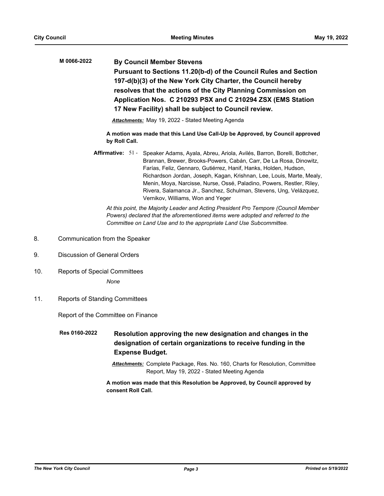**By Council Member Stevens Pursuant to Sections 11.20(b-d) of the Council Rules and Section 197-d(b)(3) of the New York City Charter, the Council hereby resolves that the actions of the City Planning Commission on Application Nos. C 210293 PSX and C 210294 ZSX (EMS Station 17 New Facility) shall be subject to Council review. M 0066-2022**

*Attachments:* May 19, 2022 - Stated Meeting Agenda

**A motion was made that this Land Use Call-Up be Approved, by Council approved by Roll Call.**

Affirmative: 51 - Speaker Adams, Ayala, Abreu, Ariola, Avilés, Barron, Borelli, Bottcher, Brannan, Brewer, Brooks-Powers, Cabán, Carr, De La Rosa, Dinowitz, Farías, Feliz, Gennaro, Gutiérrez, Hanif, Hanks, Holden, Hudson, Richardson Jordan, Joseph, Kagan, Krishnan, Lee, Louis, Marte, Mealy, Menin, Moya, Narcisse, Nurse, Ossé, Paladino, Powers, Restler, Riley, Rivera, Salamanca Jr., Sanchez, Schulman, Stevens, Ung, Velázquez, Vernikov, Williams, Won and Yeger

*At this point, the Majority Leader and Acting President Pro Tempore (Council Member Powers) declared that the aforementioned items were adopted and referred to the Committee on Land Use and to the appropriate Land Use Subcommittee.*

- 8. Communication from the Speaker
- 9. Discussion of General Orders
- 10. Reports of Special Committees

*None*

11. Reports of Standing Committees

Report of the Committee on Finance

**Resolution approving the new designation and changes in the designation of certain organizations to receive funding in the Expense Budget. Res 0160-2022**

> *Attachments:* Complete Package, Res. No. 160, Charts for Resolution, Committee Report, May 19, 2022 - Stated Meeting Agenda

**A motion was made that this Resolution be Approved, by Council approved by consent Roll Call.**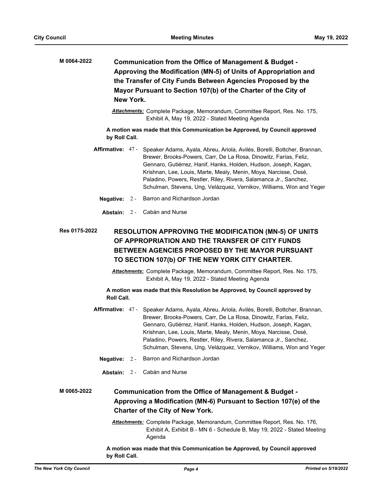| M 0064-2022<br>Communication from the Office of Management & Budget -<br>Approving the Modification (MN-5) of Units of Appropriation and<br>the Transfer of City Funds Between Agencies Proposed by the<br>Mayor Pursuant to Section 107(b) of the Charter of the City of<br>New York. |       |                                                                                                                                                                                                                                                                                                                                                                                                                                                      |  |
|----------------------------------------------------------------------------------------------------------------------------------------------------------------------------------------------------------------------------------------------------------------------------------------|-------|------------------------------------------------------------------------------------------------------------------------------------------------------------------------------------------------------------------------------------------------------------------------------------------------------------------------------------------------------------------------------------------------------------------------------------------------------|--|
|                                                                                                                                                                                                                                                                                        |       | Attachments: Complete Package, Memorandum, Committee Report, Res. No. 175,<br>Exhibit A, May 19, 2022 - Stated Meeting Agenda                                                                                                                                                                                                                                                                                                                        |  |
| by Roll Call.                                                                                                                                                                                                                                                                          |       | A motion was made that this Communication be Approved, by Council approved                                                                                                                                                                                                                                                                                                                                                                           |  |
|                                                                                                                                                                                                                                                                                        |       | Affirmative: 47 - Speaker Adams, Ayala, Abreu, Ariola, Avilés, Borelli, Bottcher, Brannan,<br>Brewer, Brooks-Powers, Carr, De La Rosa, Dinowitz, Farías, Feliz,<br>Gennaro, Gutiérrez, Hanif, Hanks, Holden, Hudson, Joseph, Kagan,<br>Krishnan, Lee, Louis, Marte, Mealy, Menin, Moya, Narcisse, Ossé,<br>Paladino, Powers, Restler, Riley, Rivera, Salamanca Jr., Sanchez,<br>Schulman, Stevens, Ung, Velázquez, Vernikov, Williams, Won and Yeger |  |
| Negative: $2 -$                                                                                                                                                                                                                                                                        |       | Barron and Richardson Jordan                                                                                                                                                                                                                                                                                                                                                                                                                         |  |
|                                                                                                                                                                                                                                                                                        |       | <b>Abstain:</b> 2 - Cabán and Nurse                                                                                                                                                                                                                                                                                                                                                                                                                  |  |
| Res 0175-2022<br><b>RESOLUTION APPROVING THE MODIFICATION (MN-5) OF UNITS</b><br>OF APPROPRIATION AND THE TRANSFER OF CITY FUNDS<br>BETWEEN AGENCIES PROPOSED BY THE MAYOR PURSUANT<br>TO SECTION 107(b) OF THE NEW YORK CITY CHARTER.                                                 |       |                                                                                                                                                                                                                                                                                                                                                                                                                                                      |  |
|                                                                                                                                                                                                                                                                                        |       | Attachments: Complete Package, Memorandum, Committee Report, Res. No. 175,<br>Exhibit A, May 19, 2022 - Stated Meeting Agenda                                                                                                                                                                                                                                                                                                                        |  |
| Roll Call.                                                                                                                                                                                                                                                                             |       | A motion was made that this Resolution be Approved, by Council approved by                                                                                                                                                                                                                                                                                                                                                                           |  |
|                                                                                                                                                                                                                                                                                        |       | Affirmative: 47 - Speaker Adams, Ayala, Abreu, Ariola, Avilés, Borelli, Bottcher, Brannan,<br>Brewer, Brooks-Powers, Carr, De La Rosa, Dinowitz, Farías, Feliz,<br>Gennaro, Gutiérrez, Hanif, Hanks, Holden, Hudson, Joseph, Kagan,<br>Krishnan, Lee, Louis, Marte, Mealy, Menin, Moya, Narcisse, Ossé,<br>Paladino, Powers, Restler, Riley, Rivera, Salamanca Jr., Sanchez,<br>Schulman, Stevens, Ung, Velázquez, Vernikov, Williams, Won and Yeger |  |
| <b>Negative:</b>                                                                                                                                                                                                                                                                       | $2 -$ | Barron and Richardson Jordan                                                                                                                                                                                                                                                                                                                                                                                                                         |  |
|                                                                                                                                                                                                                                                                                        |       | Abstain: 2 - Cabán and Nurse                                                                                                                                                                                                                                                                                                                                                                                                                         |  |
| M 0065-2022<br>Communication from the Office of Management & Budget -<br>Approving a Modification (MN-6) Pursuant to Section 107(e) of the<br><b>Charter of the City of New York.</b>                                                                                                  |       |                                                                                                                                                                                                                                                                                                                                                                                                                                                      |  |
|                                                                                                                                                                                                                                                                                        |       | Attachments: Complete Package, Memorandum, Committee Report, Res. No. 176,<br>Exhibit A, Exhibit B - MN 6 - Schedule B, May 19, 2022 - Stated Meeting<br>Agenda                                                                                                                                                                                                                                                                                      |  |
| by Roll Call.                                                                                                                                                                                                                                                                          |       | A motion was made that this Communication be Approved, by Council approved                                                                                                                                                                                                                                                                                                                                                                           |  |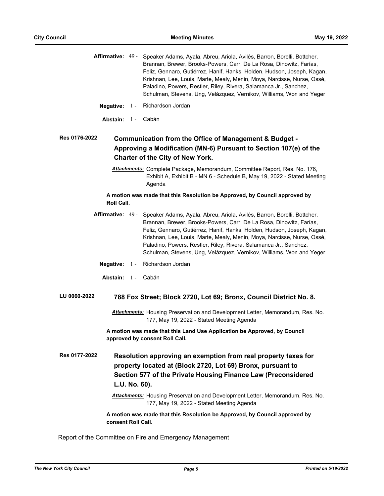|                      |               | Affirmative: 49 - Speaker Adams, Ayala, Abreu, Ariola, Avilés, Barron, Borelli, Bottcher,<br>Brannan, Brewer, Brooks-Powers, Carr, De La Rosa, Dinowitz, Farías,<br>Feliz, Gennaro, Gutiérrez, Hanif, Hanks, Holden, Hudson, Joseph, Kagan,<br>Krishnan, Lee, Louis, Marte, Mealy, Menin, Moya, Narcisse, Nurse, Ossé,<br>Paladino, Powers, Restler, Riley, Rivera, Salamanca Jr., Sanchez,<br>Schulman, Stevens, Ung, Velázquez, Vernikov, Williams, Won and Yeger |
|----------------------|---------------|---------------------------------------------------------------------------------------------------------------------------------------------------------------------------------------------------------------------------------------------------------------------------------------------------------------------------------------------------------------------------------------------------------------------------------------------------------------------|
| <b>Negative:</b>     | $1 -$         | Richardson Jordan                                                                                                                                                                                                                                                                                                                                                                                                                                                   |
| Abstain: 1-          |               | Cabán                                                                                                                                                                                                                                                                                                                                                                                                                                                               |
| <b>Res 0176-2022</b> |               | Communication from the Office of Management & Budget -<br>Approving a Modification (MN-6) Pursuant to Section 107(e) of the<br><b>Charter of the City of New York.</b>                                                                                                                                                                                                                                                                                              |
|                      |               | Attachments: Complete Package, Memorandum, Committee Report, Res. No. 176,<br>Exhibit A, Exhibit B - MN 6 - Schedule B, May 19, 2022 - Stated Meeting<br>Agenda                                                                                                                                                                                                                                                                                                     |
| <b>Roll Call.</b>    |               | A motion was made that this Resolution be Approved, by Council approved by                                                                                                                                                                                                                                                                                                                                                                                          |
| Affirmative: 49 -    |               | Speaker Adams, Ayala, Abreu, Ariola, Avilés, Barron, Borelli, Bottcher,<br>Brannan, Brewer, Brooks-Powers, Carr, De La Rosa, Dinowitz, Farías,<br>Feliz, Gennaro, Gutiérrez, Hanif, Hanks, Holden, Hudson, Joseph, Kagan,<br>Krishnan, Lee, Louis, Marte, Mealy, Menin, Moya, Narcisse, Nurse, Ossé,<br>Paladino, Powers, Restler, Riley, Rivera, Salamanca Jr., Sanchez,<br>Schulman, Stevens, Ung, Velázquez, Vernikov, Williams, Won and Yeger                   |
| Negative: $1 -$      |               | Richardson Jordan                                                                                                                                                                                                                                                                                                                                                                                                                                                   |
| Abstain: 1 - Cabán   |               |                                                                                                                                                                                                                                                                                                                                                                                                                                                                     |
| LU 0060-2022         |               | 788 Fox Street; Block 2720, Lot 69; Bronx, Council District No. 8.                                                                                                                                                                                                                                                                                                                                                                                                  |
|                      |               | Attachments: Housing Preservation and Development Letter, Memorandum, Res. No.<br>177, May 19, 2022 - Stated Meeting Agenda                                                                                                                                                                                                                                                                                                                                         |
|                      |               | A motion was made that this Land Use Application be Approved, by Council<br>approved by consent Roll Call.                                                                                                                                                                                                                                                                                                                                                          |
| Res 0177-2022        | L.U. No. 60). | Resolution approving an exemption from real property taxes for<br>property located at (Block 2720, Lot 69) Bronx, pursuant to<br>Section 577 of the Private Housing Finance Law (Preconsidered                                                                                                                                                                                                                                                                      |
|                      |               | Attachments: Housing Preservation and Development Letter, Memorandum, Res. No.<br>177, May 19, 2022 - Stated Meeting Agenda                                                                                                                                                                                                                                                                                                                                         |
| consent Roll Call.   |               | A motion was made that this Resolution be Approved, by Council approved by                                                                                                                                                                                                                                                                                                                                                                                          |

Report of the Committee on Fire and Emergency Management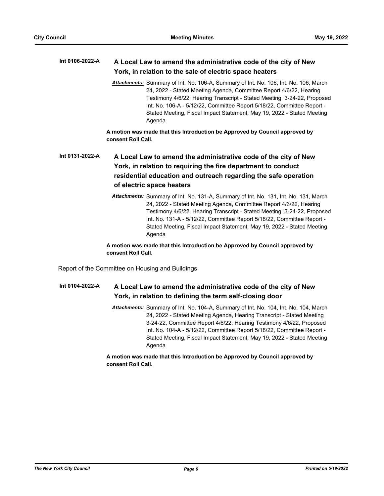#### **A Local Law to amend the administrative code of the city of New York, in relation to the sale of electric space heaters Int 0106-2022-A**

*Attachments:* Summary of Int. No. 106-A, Summary of Int. No. 106, Int. No. 106, March 24, 2022 - Stated Meeting Agenda, Committee Report 4/6/22, Hearing Testimony 4/6/22, Hearing Transcript - Stated Meeting 3-24-22, Proposed Int. No. 106-A - 5/12/22, Committee Report 5/18/22, Committee Report - Stated Meeting, Fiscal Impact Statement, May 19, 2022 - Stated Meeting Agenda

**A motion was made that this Introduction be Approved by Council approved by consent Roll Call.**

## **A Local Law to amend the administrative code of the city of New York, in relation to requiring the fire department to conduct residential education and outreach regarding the safe operation of electric space heaters Int 0131-2022-A**

*Attachments:* Summary of Int. No. 131-A, Summary of Int. No. 131, Int. No. 131, March 24, 2022 - Stated Meeting Agenda, Committee Report 4/6/22, Hearing Testimony 4/6/22, Hearing Transcript - Stated Meeting 3-24-22, Proposed Int. No. 131-A - 5/12/22, Committee Report 5/18/22, Committee Report - Stated Meeting, Fiscal Impact Statement, May 19, 2022 - Stated Meeting Agenda

**A motion was made that this Introduction be Approved by Council approved by consent Roll Call.**

Report of the Committee on Housing and Buildings

#### **A Local Law to amend the administrative code of the city of New York, in relation to defining the term self-closing door Int 0104-2022-A**

*Attachments:* Summary of Int. No. 104-A, Summary of Int. No. 104, Int. No. 104, March 24, 2022 - Stated Meeting Agenda, Hearing Transcript - Stated Meeting 3-24-22, Committee Report 4/6/22, Hearing Testimony 4/6/22, Proposed Int. No. 104-A - 5/12/22, Committee Report 5/18/22, Committee Report - Stated Meeting, Fiscal Impact Statement, May 19, 2022 - Stated Meeting Agenda

**A motion was made that this Introduction be Approved by Council approved by consent Roll Call.**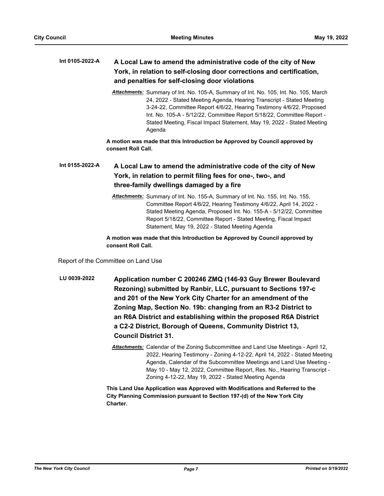#### **A Local Law to amend the administrative code of the city of New York, in relation to self-closing door corrections and certification, and penalties for self-closing door violations Int 0105-2022-A**

*Attachments:* Summary of Int. No. 105-A, Summary of Int. No. 105, Int. No. 105, March 24, 2022 - Stated Meeting Agenda, Hearing Transcript - Stated Meeting 3-24-22, Committee Report 4/6/22, Hearing Testimony 4/6/22, Proposed Int. No. 105-A - 5/12/22, Committee Report 5/18/22, Committee Report - Stated Meeting, Fiscal Impact Statement, May 19, 2022 - Stated Meeting Agenda

**A motion was made that this Introduction be Approved by Council approved by consent Roll Call.**

#### **A Local Law to amend the administrative code of the city of New York, in relation to permit filing fees for one-, two-, and three-family dwellings damaged by a fire Int 0155-2022-A**

*Attachments:* Summary of Int. No. 155-A, Summary of Int. No. 155, Int. No. 155, Committee Report 4/6/22, Hearing Testimony 4/6/22, April 14, 2022 - Stated Meeting Agenda, Proposed Int. No. 155-A - 5/12/22, Committee Report 5/18/22, Committee Report - Stated Meeting, Fiscal Impact Statement, May 19, 2022 - Stated Meeting Agenda

### **A motion was made that this Introduction be Approved by Council approved by consent Roll Call.**

Report of the Committee on Land Use

- **Application number C 200246 ZMQ (146-93 Guy Brewer Boulevard Rezoning) submitted by Ranbir, LLC, pursuant to Sections 197-c and 201 of the New York City Charter for an amendment of the Zoning Map, Section No. 19b: changing from an R3-2 District to an R6A District and establishing within the proposed R6A District a C2-2 District, Borough of Queens, Community District 13, Council District 31. LU 0039-2022**
	- *Attachments:* Calendar of the Zoning Subcommittee and Land Use Meetings April 12, 2022, Hearing Testimony - Zoning 4-12-22, April 14, 2022 - Stated Meeting Agenda, Calendar of the Subcommittee Meetings and Land Use Meeting - May 10 - May 12, 2022, Committee Report, Res. No., Hearing Transcript - Zoning 4-12-22, May 19, 2022 - Stated Meeting Agenda

**This Land Use Application was Approved with Modifications and Referred to the City Planning Commission pursuant to Section 197-(d) of the New York City Charter.**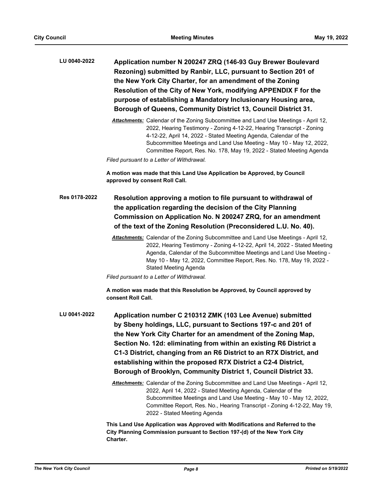| LU 0040-2022  | Application number N 200247 ZRQ (146-93 Guy Brewer Boulevard<br>Rezoning) submitted by Ranbir, LLC, pursuant to Section 201 of<br>the New York City Charter, for an amendment of the Zoning<br>Resolution of the City of New York, modifying APPENDIX F for the<br>purpose of establishing a Mandatory Inclusionary Housing area,<br>Borough of Queens, Community District 13, Council District 31.                                                                                                                                                                                                                                                                                                                                                                                                                      |
|---------------|--------------------------------------------------------------------------------------------------------------------------------------------------------------------------------------------------------------------------------------------------------------------------------------------------------------------------------------------------------------------------------------------------------------------------------------------------------------------------------------------------------------------------------------------------------------------------------------------------------------------------------------------------------------------------------------------------------------------------------------------------------------------------------------------------------------------------|
|               | Attachments: Calendar of the Zoning Subcommittee and Land Use Meetings - April 12,<br>2022, Hearing Testimony - Zoning 4-12-22, Hearing Transcript - Zoning<br>4-12-22, April 14, 2022 - Stated Meeting Agenda, Calendar of the<br>Subcommittee Meetings and Land Use Meeting - May 10 - May 12, 2022,<br>Committee Report, Res. No. 178, May 19, 2022 - Stated Meeting Agenda<br>Filed pursuant to a Letter of Withdrawal.                                                                                                                                                                                                                                                                                                                                                                                              |
|               | A motion was made that this Land Use Application be Approved, by Council<br>approved by consent Roll Call.                                                                                                                                                                                                                                                                                                                                                                                                                                                                                                                                                                                                                                                                                                               |
| Res 0178-2022 | Resolution approving a motion to file pursuant to withdrawal of<br>the application regarding the decision of the City Planning<br>Commission on Application No. N 200247 ZRQ, for an amendment<br>of the text of the Zoning Resolution (Preconsidered L.U. No. 40).                                                                                                                                                                                                                                                                                                                                                                                                                                                                                                                                                      |
|               | Attachments: Calendar of the Zoning Subcommittee and Land Use Meetings - April 12,<br>2022, Hearing Testimony - Zoning 4-12-22, April 14, 2022 - Stated Meeting<br>Agenda, Calendar of the Subcommittee Meetings and Land Use Meeting -<br>May 10 - May 12, 2022, Committee Report, Res. No. 178, May 19, 2022 -<br><b>Stated Meeting Agenda</b>                                                                                                                                                                                                                                                                                                                                                                                                                                                                         |
|               | Filed pursuant to a Letter of Withdrawal.<br>A motion was made that this Resolution be Approved, by Council approved by<br>consent Roll Call.                                                                                                                                                                                                                                                                                                                                                                                                                                                                                                                                                                                                                                                                            |
| LU 0041-2022  | Application number C 210312 ZMK (103 Lee Avenue) submitted<br>by Sbeny holdings, LLC, pursuant to Sections 197-c and 201 of<br>the New York City Charter for an amendment of the Zoning Map,<br>Section No. 12d: eliminating from within an existing R6 District a<br>C1-3 District, changing from an R6 District to an R7X District, and<br>establishing within the proposed R7X District a C2-4 District,<br>Borough of Brooklyn, Community District 1, Council District 33.<br>Attachments: Calendar of the Zoning Subcommittee and Land Use Meetings - April 12,<br>2022, April 14, 2022 - Stated Meeting Agenda, Calendar of the<br>Subcommittee Meetings and Land Use Meeting - May 10 - May 12, 2022,<br>Committee Report, Res. No., Hearing Transcript - Zoning 4-12-22, May 19,<br>2022 - Stated Meeting Agenda |
|               | This Land Use Application was Approved with Modifications and Referred to the<br>City Planning Commission pursuant to Section 197-(d) of the New York City<br>Charter.                                                                                                                                                                                                                                                                                                                                                                                                                                                                                                                                                                                                                                                   |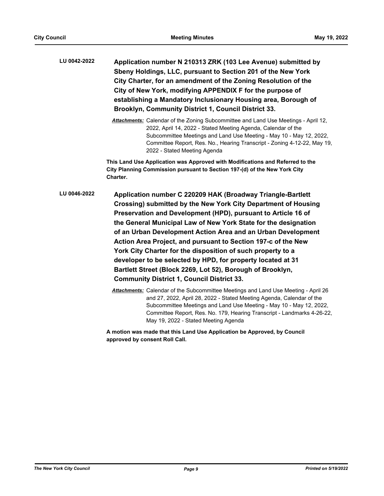**Application number N 210313 ZRK (103 Lee Avenue) submitted by Sbeny Holdings, LLC, pursuant to Section 201 of the New York City Charter, for an amendment of the Zoning Resolution of the City of New York, modifying APPENDIX F for the purpose of establishing a Mandatory Inclusionary Housing area, Borough of Brooklyn, Community District 1, Council District 33. LU 0042-2022**

> *Attachments:* Calendar of the Zoning Subcommittee and Land Use Meetings - April 12, 2022, April 14, 2022 - Stated Meeting Agenda, Calendar of the Subcommittee Meetings and Land Use Meeting - May 10 - May 12, 2022, Committee Report, Res. No., Hearing Transcript - Zoning 4-12-22, May 19, 2022 - Stated Meeting Agenda

**This Land Use Application was Approved with Modifications and Referred to the City Planning Commission pursuant to Section 197-(d) of the New York City Charter.**

- **Application number C 220209 HAK (Broadway Triangle-Bartlett Crossing) submitted by the New York City Department of Housing Preservation and Development (HPD), pursuant to Article 16 of the General Municipal Law of New York State for the designation of an Urban Development Action Area and an Urban Development Action Area Project, and pursuant to Section 197-c of the New York City Charter for the disposition of such property to a developer to be selected by HPD, for property located at 31 Bartlett Street (Block 2269, Lot 52), Borough of Brooklyn, Community District 1, Council District 33. LU 0046-2022**
	- *Attachments:* Calendar of the Subcommittee Meetings and Land Use Meeting April 26 and 27, 2022, April 28, 2022 - Stated Meeting Agenda, Calendar of the Subcommittee Meetings and Land Use Meeting - May 10 - May 12, 2022, Committee Report, Res. No. 179, Hearing Transcript - Landmarks 4-26-22, May 19, 2022 - Stated Meeting Agenda

**A motion was made that this Land Use Application be Approved, by Council approved by consent Roll Call.**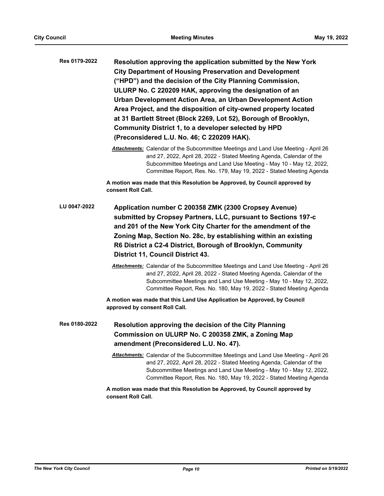| Res 0179-2022 | Resolution approving the application submitted by the New York<br><b>City Department of Housing Preservation and Development</b><br>("HPD") and the decision of the City Planning Commission,<br>ULURP No. C 220209 HAK, approving the designation of an<br>Urban Development Action Area, an Urban Development Action<br>Area Project, and the disposition of city-owned property located<br>at 31 Bartlett Street (Block 2269, Lot 52), Borough of Brooklyn,<br>Community District 1, to a developer selected by HPD<br>(Preconsidered L.U. No. 46; C 220209 HAK). |
|---------------|----------------------------------------------------------------------------------------------------------------------------------------------------------------------------------------------------------------------------------------------------------------------------------------------------------------------------------------------------------------------------------------------------------------------------------------------------------------------------------------------------------------------------------------------------------------------|
|               | Attachments: Calendar of the Subcommittee Meetings and Land Use Meeting - April 26<br>and 27, 2022, April 28, 2022 - Stated Meeting Agenda, Calendar of the<br>Subcommittee Meetings and Land Use Meeting - May 10 - May 12, 2022,<br>Committee Report, Res. No. 179, May 19, 2022 - Stated Meeting Agenda                                                                                                                                                                                                                                                           |
|               | A motion was made that this Resolution be Approved, by Council approved by<br>consent Roll Call.                                                                                                                                                                                                                                                                                                                                                                                                                                                                     |
| LU 0047-2022  | Application number C 200358 ZMK (2300 Cropsey Avenue)<br>submitted by Cropsey Partners, LLC, pursuant to Sections 197-c<br>and 201 of the New York City Charter for the amendment of the<br>Zoning Map, Section No. 28c, by establishing within an existing<br>R6 District a C2-4 District, Borough of Brooklyn, Community<br>District 11, Council District 43.                                                                                                                                                                                                      |
|               | Attachments: Calendar of the Subcommittee Meetings and Land Use Meeting - April 26<br>and 27, 2022, April 28, 2022 - Stated Meeting Agenda, Calendar of the<br>Subcommittee Meetings and Land Use Meeting - May 10 - May 12, 2022,<br>Committee Report, Res. No. 180, May 19, 2022 - Stated Meeting Agenda                                                                                                                                                                                                                                                           |
|               | A motion was made that this Land Use Application be Approved, by Council<br>approved by consent Roll Call.                                                                                                                                                                                                                                                                                                                                                                                                                                                           |
| Res 0180-2022 | Resolution approving the decision of the City Planning<br>Commission on ULURP No. C 200358 ZMK, a Zoning Map<br>amendment (Preconsidered L.U. No. 47).                                                                                                                                                                                                                                                                                                                                                                                                               |
|               | Attachments: Calendar of the Subcommittee Meetings and Land Use Meeting - April 26<br>and 27, 2022, April 28, 2022 - Stated Meeting Agenda, Calendar of the<br>Subcommittee Meetings and Land Use Meeting - May 10 - May 12, 2022,<br>Committee Report, Res. No. 180, May 19, 2022 - Stated Meeting Agenda                                                                                                                                                                                                                                                           |
|               | A motion was made that this Resolution be Approved, by Council approved by<br>consent Roll Call.                                                                                                                                                                                                                                                                                                                                                                                                                                                                     |
|               |                                                                                                                                                                                                                                                                                                                                                                                                                                                                                                                                                                      |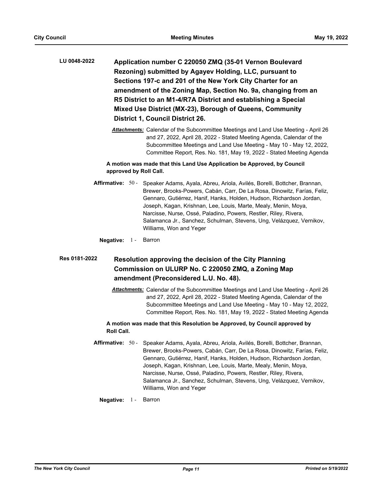- **Application number C 220050 ZMQ (35-01 Vernon Boulevard Rezoning) submitted by Agayev Holding, LLC, pursuant to Sections 197-c and 201 of the New York City Charter for an amendment of the Zoning Map, Section No. 9a, changing from an R5 District to an M1-4/R7A District and establishing a Special Mixed Use District (MX-23), Borough of Queens, Community District 1, Council District 26. LU 0048-2022**
	- *Attachments:* Calendar of the Subcommittee Meetings and Land Use Meeting April 26 and 27, 2022, April 28, 2022 - Stated Meeting Agenda, Calendar of the Subcommittee Meetings and Land Use Meeting - May 10 - May 12, 2022, Committee Report, Res. No. 181, May 19, 2022 - Stated Meeting Agenda

### **A motion was made that this Land Use Application be Approved, by Council approved by Roll Call.**

- Affirmative: 50 Speaker Adams, Ayala, Abreu, Ariola, Avilés, Borelli, Bottcher, Brannan, Brewer, Brooks-Powers, Cabán, Carr, De La Rosa, Dinowitz, Farías, Feliz, Gennaro, Gutiérrez, Hanif, Hanks, Holden, Hudson, Richardson Jordan, Joseph, Kagan, Krishnan, Lee, Louis, Marte, Mealy, Menin, Moya, Narcisse, Nurse, Ossé, Paladino, Powers, Restler, Riley, Rivera, Salamanca Jr., Sanchez, Schulman, Stevens, Ung, Velázquez, Vernikov, Williams, Won and Yeger
	- **Negative:** 1 Barron

#### **Resolution approving the decision of the City Planning Commission on ULURP No. C 220050 ZMQ, a Zoning Map amendment (Preconsidered L.U. No. 48). Res 0181-2022**

*Attachments:* Calendar of the Subcommittee Meetings and Land Use Meeting - April 26 and 27, 2022, April 28, 2022 - Stated Meeting Agenda, Calendar of the Subcommittee Meetings and Land Use Meeting - May 10 - May 12, 2022, Committee Report, Res. No. 181, May 19, 2022 - Stated Meeting Agenda

### **A motion was made that this Resolution be Approved, by Council approved by Roll Call.**

- Affirmative: 50 Speaker Adams, Ayala, Abreu, Ariola, Avilés, Borelli, Bottcher, Brannan, Brewer, Brooks-Powers, Cabán, Carr, De La Rosa, Dinowitz, Farías, Feliz, Gennaro, Gutiérrez, Hanif, Hanks, Holden, Hudson, Richardson Jordan, Joseph, Kagan, Krishnan, Lee, Louis, Marte, Mealy, Menin, Moya, Narcisse, Nurse, Ossé, Paladino, Powers, Restler, Riley, Rivera, Salamanca Jr., Sanchez, Schulman, Stevens, Ung, Velázquez, Vernikov, Williams, Won and Yeger
	- **Negative:** 1 Barron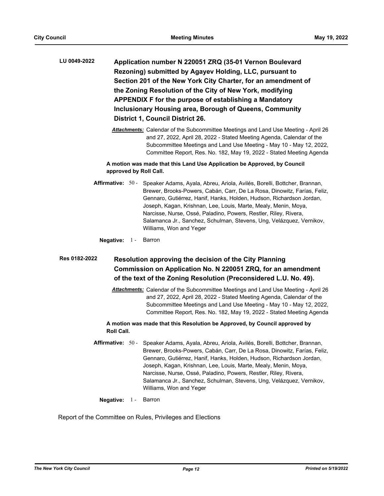- **Application number N 220051 ZRQ (35-01 Vernon Boulevard Rezoning) submitted by Agayev Holding, LLC, pursuant to Section 201 of the New York City Charter, for an amendment of the Zoning Resolution of the City of New York, modifying APPENDIX F for the purpose of establishing a Mandatory Inclusionary Housing area, Borough of Queens, Community District 1, Council District 26. LU 0049-2022**
	- *Attachments:* Calendar of the Subcommittee Meetings and Land Use Meeting April 26 and 27, 2022, April 28, 2022 - Stated Meeting Agenda, Calendar of the Subcommittee Meetings and Land Use Meeting - May 10 - May 12, 2022, Committee Report, Res. No. 182, May 19, 2022 - Stated Meeting Agenda

### **A motion was made that this Land Use Application be Approved, by Council approved by Roll Call.**

- Affirmative: 50 Speaker Adams, Ayala, Abreu, Ariola, Avilés, Borelli, Bottcher, Brannan, Brewer, Brooks-Powers, Cabán, Carr, De La Rosa, Dinowitz, Farías, Feliz, Gennaro, Gutiérrez, Hanif, Hanks, Holden, Hudson, Richardson Jordan, Joseph, Kagan, Krishnan, Lee, Louis, Marte, Mealy, Menin, Moya, Narcisse, Nurse, Ossé, Paladino, Powers, Restler, Riley, Rivera, Salamanca Jr., Sanchez, Schulman, Stevens, Ung, Velázquez, Vernikov, Williams, Won and Yeger
	- **Negative:** 1 Barron

**Resolution approving the decision of the City Planning Commission on Application No. N 220051 ZRQ, for an amendment of the text of the Zoning Resolution (Preconsidered L.U. No. 49). Res 0182-2022**

> *Attachments:* Calendar of the Subcommittee Meetings and Land Use Meeting - April 26 and 27, 2022, April 28, 2022 - Stated Meeting Agenda, Calendar of the Subcommittee Meetings and Land Use Meeting - May 10 - May 12, 2022, Committee Report, Res. No. 182, May 19, 2022 - Stated Meeting Agenda

### **A motion was made that this Resolution be Approved, by Council approved by Roll Call.**

- Affirmative: 50 Speaker Adams, Ayala, Abreu, Ariola, Avilés, Borelli, Bottcher, Brannan, Brewer, Brooks-Powers, Cabán, Carr, De La Rosa, Dinowitz, Farías, Feliz, Gennaro, Gutiérrez, Hanif, Hanks, Holden, Hudson, Richardson Jordan, Joseph, Kagan, Krishnan, Lee, Louis, Marte, Mealy, Menin, Moya, Narcisse, Nurse, Ossé, Paladino, Powers, Restler, Riley, Rivera, Salamanca Jr., Sanchez, Schulman, Stevens, Ung, Velázquez, Vernikov, Williams, Won and Yeger
	- **Negative:** 1 Barron

Report of the Committee on Rules, Privileges and Elections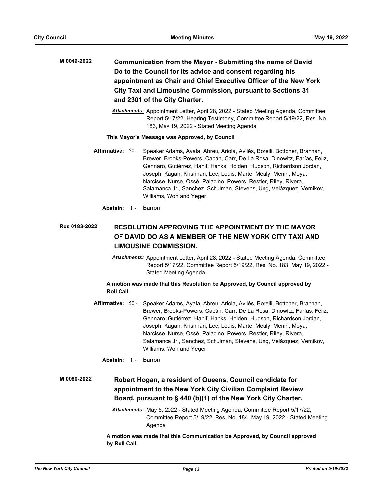- **Communication from the Mayor Submitting the name of David Do to the Council for its advice and consent regarding his appointment as Chair and Chief Executive Officer of the New York City Taxi and Limousine Commission, pursuant to Sections 31 and 2301 of the City Charter. M 0049-2022**
	- *Attachments:* Appointment Letter, April 28, 2022 Stated Meeting Agenda, Committee Report 5/17/22, Hearing Testimony, Committee Report 5/19/22, Res. No. 183, May 19, 2022 - Stated Meeting Agenda

#### **This Mayor's Message was Approved, by Council**

- Affirmative: 50 Speaker Adams, Ayala, Abreu, Ariola, Avilés, Borelli, Bottcher, Brannan, Brewer, Brooks-Powers, Cabán, Carr, De La Rosa, Dinowitz, Farías, Feliz, Gennaro, Gutiérrez, Hanif, Hanks, Holden, Hudson, Richardson Jordan, Joseph, Kagan, Krishnan, Lee, Louis, Marte, Mealy, Menin, Moya, Narcisse, Nurse, Ossé, Paladino, Powers, Restler, Riley, Rivera, Salamanca Jr., Sanchez, Schulman, Stevens, Ung, Velázquez, Vernikov, Williams, Won and Yeger
	- **Abstain:** 1 Barron

#### **RESOLUTION APPROVING THE APPOINTMENT BY THE MAYOR OF DAVID DO AS A MEMBER OF THE NEW YORK CITY TAXI AND LIMOUSINE COMMISSION. Res 0183-2022**

*Attachments:* Appointment Letter, April 28, 2022 - Stated Meeting Agenda, Committee Report 5/17/22, Committee Report 5/19/22, Res. No. 183, May 19, 2022 - Stated Meeting Agenda

**A motion was made that this Resolution be Approved, by Council approved by Roll Call.**

- Affirmative: 50 Speaker Adams, Ayala, Abreu, Ariola, Avilés, Borelli, Bottcher, Brannan, Brewer, Brooks-Powers, Cabán, Carr, De La Rosa, Dinowitz, Farías, Feliz, Gennaro, Gutiérrez, Hanif, Hanks, Holden, Hudson, Richardson Jordan, Joseph, Kagan, Krishnan, Lee, Louis, Marte, Mealy, Menin, Moya, Narcisse, Nurse, Ossé, Paladino, Powers, Restler, Riley, Rivera, Salamanca Jr., Sanchez, Schulman, Stevens, Ung, Velázquez, Vernikov, Williams, Won and Yeger
	- **Abstain:** 1 Barron

#### **Robert Hogan, a resident of Queens, Council candidate for appointment to the New York City Civilian Complaint Review Board, pursuant to § 440 (b)(1) of the New York City Charter. M 0060-2022**

*Attachments:* May 5, 2022 - Stated Meeting Agenda, Committee Report 5/17/22, Committee Report 5/19/22, Res. No. 184, May 19, 2022 - Stated Meeting Agenda

**A motion was made that this Communication be Approved, by Council approved by Roll Call.**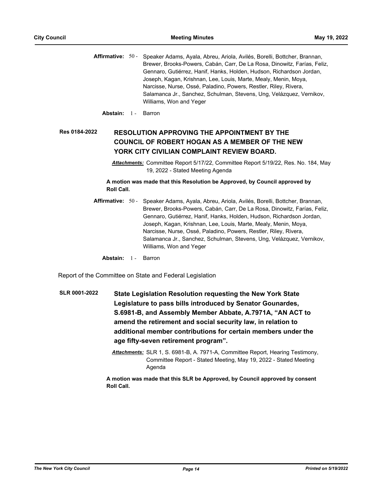Affirmative: 50 - Speaker Adams, Ayala, Abreu, Ariola, Avilés, Borelli, Bottcher, Brannan, Brewer, Brooks-Powers, Cabán, Carr, De La Rosa, Dinowitz, Farías, Feliz, Gennaro, Gutiérrez, Hanif, Hanks, Holden, Hudson, Richardson Jordan, Joseph, Kagan, Krishnan, Lee, Louis, Marte, Mealy, Menin, Moya, Narcisse, Nurse, Ossé, Paladino, Powers, Restler, Riley, Rivera, Salamanca Jr., Sanchez, Schulman, Stevens, Ung, Velázquez, Vernikov, Williams, Won and Yeger

**Abstain:** 1 - Barron

#### **RESOLUTION APPROVING THE APPOINTMENT BY THE COUNCIL OF ROBERT HOGAN AS A MEMBER OF THE NEW YORK CITY CIVILIAN COMPLAINT REVIEW BOARD. Res 0184-2022**

*Attachments:* Committee Report 5/17/22, Committee Report 5/19/22, Res. No. 184, May 19, 2022 - Stated Meeting Agenda

**A motion was made that this Resolution be Approved, by Council approved by Roll Call.**

- Affirmative: 50 Speaker Adams, Ayala, Abreu, Ariola, Avilés, Borelli, Bottcher, Brannan, Brewer, Brooks-Powers, Cabán, Carr, De La Rosa, Dinowitz, Farías, Feliz, Gennaro, Gutiérrez, Hanif, Hanks, Holden, Hudson, Richardson Jordan, Joseph, Kagan, Krishnan, Lee, Louis, Marte, Mealy, Menin, Moya, Narcisse, Nurse, Ossé, Paladino, Powers, Restler, Riley, Rivera, Salamanca Jr., Sanchez, Schulman, Stevens, Ung, Velázquez, Vernikov, Williams, Won and Yeger
	- **Abstain:** 1 Barron

Report of the Committee on State and Federal Legislation

- **State Legislation Resolution requesting the New York State Legislature to pass bills introduced by Senator Gounardes, S.6981-B, and Assembly Member Abbate, A.7971A, "AN ACT to amend the retirement and social security law, in relation to additional member contributions for certain members under the age fifty-seven retirement program". SLR 0001-2022**
	- *Attachments:* SLR 1, S. 6981-B, A. 7971-A, Committee Report, Hearing Testimony, Committee Report - Stated Meeting, May 19, 2022 - Stated Meeting Agenda

**A motion was made that this SLR be Approved, by Council approved by consent Roll Call.**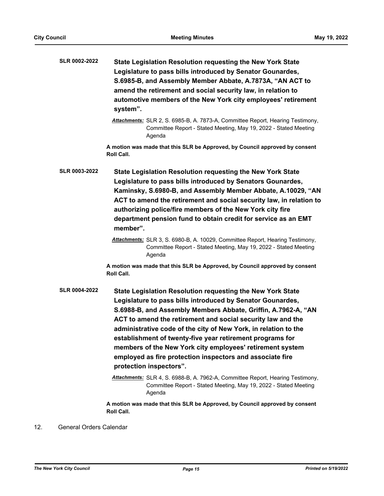|     | SLR 0002-2022           | State Legislation Resolution requesting the New York State<br>Legislature to pass bills introduced by Senator Gounardes,<br>S.6985-B, and Assembly Member Abbate, A.7873A, "AN ACT to<br>amend the retirement and social security law, in relation to<br>automotive members of the New York city employees' retirement<br>system".                                                                                                                                                                                                                                                                                                                                                                                   |
|-----|-------------------------|----------------------------------------------------------------------------------------------------------------------------------------------------------------------------------------------------------------------------------------------------------------------------------------------------------------------------------------------------------------------------------------------------------------------------------------------------------------------------------------------------------------------------------------------------------------------------------------------------------------------------------------------------------------------------------------------------------------------|
|     |                         | Attachments: SLR 2, S. 6985-B, A. 7873-A, Committee Report, Hearing Testimony,<br>Committee Report - Stated Meeting, May 19, 2022 - Stated Meeting<br>Agenda                                                                                                                                                                                                                                                                                                                                                                                                                                                                                                                                                         |
|     |                         | A motion was made that this SLR be Approved, by Council approved by consent<br>Roll Call.                                                                                                                                                                                                                                                                                                                                                                                                                                                                                                                                                                                                                            |
|     | <b>SLR 0003-2022</b>    | State Legislation Resolution requesting the New York State<br>Legislature to pass bills introduced by Senators Gounardes,<br>Kaminsky, S.6980-B, and Assembly Member Abbate, A.10029, "AN<br>ACT to amend the retirement and social security law, in relation to<br>authorizing police/fire members of the New York city fire<br>department pension fund to obtain credit for service as an EMT<br>member".                                                                                                                                                                                                                                                                                                          |
|     |                         | Attachments: SLR 3, S. 6980-B, A. 10029, Committee Report, Hearing Testimony,<br>Committee Report - Stated Meeting, May 19, 2022 - Stated Meeting<br>Agenda                                                                                                                                                                                                                                                                                                                                                                                                                                                                                                                                                          |
|     |                         | A motion was made that this SLR be Approved, by Council approved by consent<br>Roll Call.                                                                                                                                                                                                                                                                                                                                                                                                                                                                                                                                                                                                                            |
|     | <b>SLR 0004-2022</b>    | <b>State Legislation Resolution requesting the New York State</b><br>Legislature to pass bills introduced by Senator Gounardes,<br>S.6988-B, and Assembly Members Abbate, Griffin, A.7962-A, "AN<br>ACT to amend the retirement and social security law and the<br>administrative code of the city of New York, in relation to the<br>establishment of twenty-five year retirement programs for<br>members of the New York city employees' retirement system<br>employed as fire protection inspectors and associate fire<br>protection inspectors".<br>Attachments: SLR 4, S. 6988-B, A. 7962-A, Committee Report, Hearing Testimony,<br>Committee Report - Stated Meeting, May 19, 2022 - Stated Meeting<br>Agenda |
|     |                         | A motion was made that this SLR be Approved, by Council approved by consent<br>Roll Call.                                                                                                                                                                                                                                                                                                                                                                                                                                                                                                                                                                                                                            |
| 12. | General Orders Calendar |                                                                                                                                                                                                                                                                                                                                                                                                                                                                                                                                                                                                                                                                                                                      |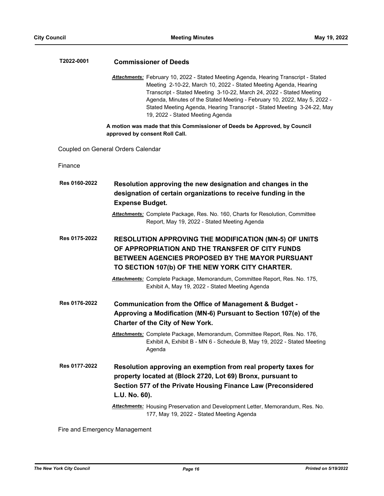| T2022-0001    | <b>Commissioner of Deeds</b>                                                                                                                                                                                                                                                                                                                                                                                               |
|---------------|----------------------------------------------------------------------------------------------------------------------------------------------------------------------------------------------------------------------------------------------------------------------------------------------------------------------------------------------------------------------------------------------------------------------------|
|               | Attachments: February 10, 2022 - Stated Meeting Agenda, Hearing Transcript - Stated<br>Meeting 2-10-22, March 10, 2022 - Stated Meeting Agenda, Hearing<br>Transcript - Stated Meeting 3-10-22, March 24, 2022 - Stated Meeting<br>Agenda, Minutes of the Stated Meeting - February 10, 2022, May 5, 2022 -<br>Stated Meeting Agenda, Hearing Transcript - Stated Meeting 3-24-22, May<br>19, 2022 - Stated Meeting Agenda |
|               | A motion was made that this Commissioner of Deeds be Approved, by Council<br>approved by consent Roll Call.                                                                                                                                                                                                                                                                                                                |
|               | Coupled on General Orders Calendar                                                                                                                                                                                                                                                                                                                                                                                         |
| Finance       |                                                                                                                                                                                                                                                                                                                                                                                                                            |
| Res 0160-2022 | Resolution approving the new designation and changes in the<br>designation of certain organizations to receive funding in the<br><b>Expense Budget.</b>                                                                                                                                                                                                                                                                    |
|               | <b>Attachments:</b> Complete Package, Res. No. 160, Charts for Resolution, Committee<br>Report, May 19, 2022 - Stated Meeting Agenda                                                                                                                                                                                                                                                                                       |
| Res 0175-2022 | <b>RESOLUTION APPROVING THE MODIFICATION (MN-5) OF UNITS</b><br>OF APPROPRIATION AND THE TRANSFER OF CITY FUNDS<br><b>BETWEEN AGENCIES PROPOSED BY THE MAYOR PURSUANT</b><br>TO SECTION 107(b) OF THE NEW YORK CITY CHARTER.<br>Attachments: Complete Package, Memorandum, Committee Report, Res. No. 175,<br>Exhibit A, May 19, 2022 - Stated Meeting Agenda                                                              |
| Res 0176-2022 | Communication from the Office of Management & Budget -<br>Approving a Modification (MN-6) Pursuant to Section 107(e) of the<br><b>Charter of the City of New York.</b><br>Attachments: Complete Package, Memorandum, Committee Report, Res. No. 176,<br>Exhibit A, Exhibit B - MN 6 - Schedule B, May 19, 2022 - Stated Meeting<br>Agenda                                                                                  |
| Res 0177-2022 | Resolution approving an exemption from real property taxes for<br>property located at (Block 2720, Lot 69) Bronx, pursuant to<br>Section 577 of the Private Housing Finance Law (Preconsidered<br>L.U. No. 60).<br>Attachments: Housing Preservation and Development Letter, Memorandum, Res. No.<br>177, May 19, 2022 - Stated Meeting Agenda                                                                             |

Fire and Emergency Management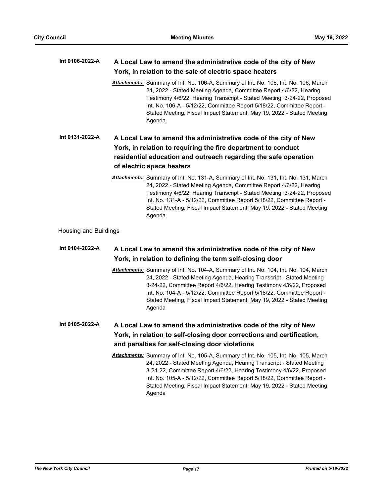#### **A Local Law to amend the administrative code of the city of New York, in relation to the sale of electric space heaters Int 0106-2022-A**

*Attachments:* Summary of Int. No. 106-A, Summary of Int. No. 106, Int. No. 106, March 24, 2022 - Stated Meeting Agenda, Committee Report 4/6/22, Hearing Testimony 4/6/22, Hearing Transcript - Stated Meeting 3-24-22, Proposed Int. No. 106-A - 5/12/22, Committee Report 5/18/22, Committee Report - Stated Meeting, Fiscal Impact Statement, May 19, 2022 - Stated Meeting Agenda

## **A Local Law to amend the administrative code of the city of New York, in relation to requiring the fire department to conduct residential education and outreach regarding the safe operation of electric space heaters Int 0131-2022-A**

*Attachments:* Summary of Int. No. 131-A, Summary of Int. No. 131, Int. No. 131, March 24, 2022 - Stated Meeting Agenda, Committee Report 4/6/22, Hearing Testimony 4/6/22, Hearing Transcript - Stated Meeting 3-24-22, Proposed Int. No. 131-A - 5/12/22, Committee Report 5/18/22, Committee Report - Stated Meeting, Fiscal Impact Statement, May 19, 2022 - Stated Meeting Agenda

Housing and Buildings

#### **A Local Law to amend the administrative code of the city of New York, in relation to defining the term self-closing door Int 0104-2022-A**

*Attachments:* Summary of Int. No. 104-A, Summary of Int. No. 104, Int. No. 104, March 24, 2022 - Stated Meeting Agenda, Hearing Transcript - Stated Meeting 3-24-22, Committee Report 4/6/22, Hearing Testimony 4/6/22, Proposed Int. No. 104-A - 5/12/22, Committee Report 5/18/22, Committee Report - Stated Meeting, Fiscal Impact Statement, May 19, 2022 - Stated Meeting Agenda

#### **A Local Law to amend the administrative code of the city of New York, in relation to self-closing door corrections and certification, and penalties for self-closing door violations Int 0105-2022-A**

*Attachments:* Summary of Int. No. 105-A, Summary of Int. No. 105, Int. No. 105, March 24, 2022 - Stated Meeting Agenda, Hearing Transcript - Stated Meeting 3-24-22, Committee Report 4/6/22, Hearing Testimony 4/6/22, Proposed Int. No. 105-A - 5/12/22, Committee Report 5/18/22, Committee Report - Stated Meeting, Fiscal Impact Statement, May 19, 2022 - Stated Meeting Agenda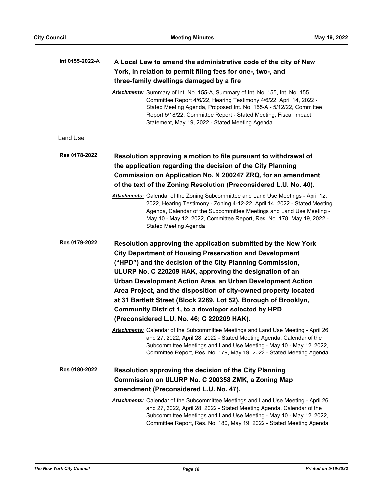| Int 0155-2022-A | A Local Law to amend the administrative code of the city of New<br>York, in relation to permit filing fees for one-, two-, and<br>three-family dwellings damaged by a fire                                                                                                                                                                                                                                                                                                                                                                                           |
|-----------------|----------------------------------------------------------------------------------------------------------------------------------------------------------------------------------------------------------------------------------------------------------------------------------------------------------------------------------------------------------------------------------------------------------------------------------------------------------------------------------------------------------------------------------------------------------------------|
|                 | Attachments: Summary of Int. No. 155-A, Summary of Int. No. 155, Int. No. 155,<br>Committee Report 4/6/22, Hearing Testimony 4/6/22, April 14, 2022 -<br>Stated Meeting Agenda, Proposed Int. No. 155-A - 5/12/22, Committee<br>Report 5/18/22, Committee Report - Stated Meeting, Fiscal Impact<br>Statement, May 19, 2022 - Stated Meeting Agenda                                                                                                                                                                                                                  |
| Land Use        |                                                                                                                                                                                                                                                                                                                                                                                                                                                                                                                                                                      |
| Res 0178-2022   | Resolution approving a motion to file pursuant to withdrawal of<br>the application regarding the decision of the City Planning<br>Commission on Application No. N 200247 ZRQ, for an amendment<br>of the text of the Zoning Resolution (Preconsidered L.U. No. 40).                                                                                                                                                                                                                                                                                                  |
|                 | Attachments: Calendar of the Zoning Subcommittee and Land Use Meetings - April 12,<br>2022, Hearing Testimony - Zoning 4-12-22, April 14, 2022 - Stated Meeting<br>Agenda, Calendar of the Subcommittee Meetings and Land Use Meeting -<br>May 10 - May 12, 2022, Committee Report, Res. No. 178, May 19, 2022 -<br><b>Stated Meeting Agenda</b>                                                                                                                                                                                                                     |
| Res 0179-2022   | Resolution approving the application submitted by the New York<br><b>City Department of Housing Preservation and Development</b><br>("HPD") and the decision of the City Planning Commission,<br>ULURP No. C 220209 HAK, approving the designation of an<br>Urban Development Action Area, an Urban Development Action<br>Area Project, and the disposition of city-owned property located<br>at 31 Bartlett Street (Block 2269, Lot 52), Borough of Brooklyn,<br>Community District 1, to a developer selected by HPD<br>(Preconsidered L.U. No. 46; C 220209 HAK). |
|                 | Attachments: Calendar of the Subcommittee Meetings and Land Use Meeting - April 26<br>and 27, 2022, April 28, 2022 - Stated Meeting Agenda, Calendar of the<br>Subcommittee Meetings and Land Use Meeting - May 10 - May 12, 2022,<br>Committee Report, Res. No. 179, May 19, 2022 - Stated Meeting Agenda                                                                                                                                                                                                                                                           |
| Res 0180-2022   | <b>Resolution approving the decision of the City Planning</b><br>Commission on ULURP No. C 200358 ZMK, a Zoning Map<br>amendment (Preconsidered L.U. No. 47).                                                                                                                                                                                                                                                                                                                                                                                                        |
|                 | Attachments: Calendar of the Subcommittee Meetings and Land Use Meeting - April 26<br>and 27, 2022, April 28, 2022 - Stated Meeting Agenda, Calendar of the<br>Subcommittee Meetings and Land Use Meeting - May 10 - May 12, 2022,<br>Committee Report, Res. No. 180, May 19, 2022 - Stated Meeting Agenda                                                                                                                                                                                                                                                           |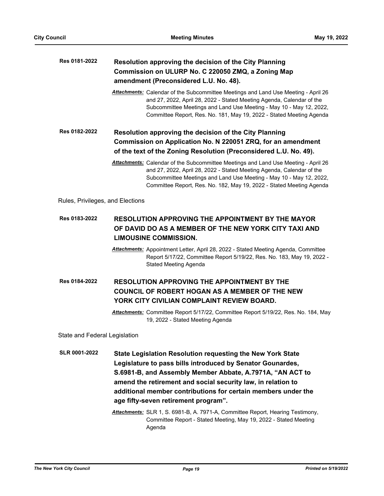| Res 0181-2022                    | Resolution approving the decision of the City Planning<br>Commission on ULURP No. C 220050 ZMQ, a Zoning Map<br>amendment (Preconsidered L.U. No. 48).                                                                                                                                                                                                         |  |  |
|----------------------------------|----------------------------------------------------------------------------------------------------------------------------------------------------------------------------------------------------------------------------------------------------------------------------------------------------------------------------------------------------------------|--|--|
|                                  | Attachments: Calendar of the Subcommittee Meetings and Land Use Meeting - April 26<br>and 27, 2022, April 28, 2022 - Stated Meeting Agenda, Calendar of the<br>Subcommittee Meetings and Land Use Meeting - May 10 - May 12, 2022,<br>Committee Report, Res. No. 181, May 19, 2022 - Stated Meeting Agenda                                                     |  |  |
| Res 0182-2022                    | Resolution approving the decision of the City Planning                                                                                                                                                                                                                                                                                                         |  |  |
|                                  | Commission on Application No. N 220051 ZRQ, for an amendment                                                                                                                                                                                                                                                                                                   |  |  |
|                                  | of the text of the Zoning Resolution (Preconsidered L.U. No. 49).                                                                                                                                                                                                                                                                                              |  |  |
|                                  | Attachments: Calendar of the Subcommittee Meetings and Land Use Meeting - April 26<br>and 27, 2022, April 28, 2022 - Stated Meeting Agenda, Calendar of the<br>Subcommittee Meetings and Land Use Meeting - May 10 - May 12, 2022,<br>Committee Report, Res. No. 182, May 19, 2022 - Stated Meeting Agenda                                                     |  |  |
| Rules, Privileges, and Elections |                                                                                                                                                                                                                                                                                                                                                                |  |  |
| Res 0183-2022                    | <b>RESOLUTION APPROVING THE APPOINTMENT BY THE MAYOR</b><br>OF DAVID DO AS A MEMBER OF THE NEW YORK CITY TAXI AND<br><b>LIMOUSINE COMMISSION.</b>                                                                                                                                                                                                              |  |  |
|                                  | Attachments: Appointment Letter, April 28, 2022 - Stated Meeting Agenda, Committee<br>Report 5/17/22, Committee Report 5/19/22, Res. No. 183, May 19, 2022 -<br><b>Stated Meeting Agenda</b>                                                                                                                                                                   |  |  |
| Res 0184-2022                    | <b>RESOLUTION APPROVING THE APPOINTMENT BY THE</b><br>COUNCIL OF ROBERT HOGAN AS A MEMBER OF THE NEW<br>YORK CITY CIVILIAN COMPLAINT REVIEW BOARD.                                                                                                                                                                                                             |  |  |
|                                  | Attachments: Committee Report 5/17/22, Committee Report 5/19/22, Res. No. 184, May<br>19, 2022 - Stated Meeting Agenda                                                                                                                                                                                                                                         |  |  |
| State and Federal Legislation    |                                                                                                                                                                                                                                                                                                                                                                |  |  |
| <b>SLR 0001-2022</b>             | State Legislation Resolution requesting the New York State<br>Legislature to pass bills introduced by Senator Gounardes,<br>S.6981-B, and Assembly Member Abbate, A.7971A, "AN ACT to<br>amend the retirement and social security law, in relation to<br>additional member contributions for certain members under the<br>age fifty-seven retirement program". |  |  |
|                                  | Attachments: SLR 1, S. 6981-B, A. 7971-A, Committee Report, Hearing Testimony,<br>Committee Report - Stated Meeting, May 19, 2022 - Stated Meeting                                                                                                                                                                                                             |  |  |

Agenda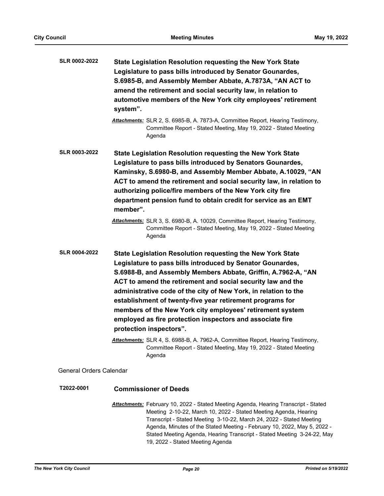| <b>SLR 0002-2022</b>           | State Legislation Resolution requesting the New York State<br>Legislature to pass bills introduced by Senator Gounardes,<br>S.6985-B, and Assembly Member Abbate, A.7873A, "AN ACT to<br>amend the retirement and social security law, in relation to<br>automotive members of the New York city employees' retirement<br>system".                                                                                                                                                                                                            |
|--------------------------------|-----------------------------------------------------------------------------------------------------------------------------------------------------------------------------------------------------------------------------------------------------------------------------------------------------------------------------------------------------------------------------------------------------------------------------------------------------------------------------------------------------------------------------------------------|
|                                | Attachments: SLR 2, S. 6985-B, A. 7873-A, Committee Report, Hearing Testimony,<br>Committee Report - Stated Meeting, May 19, 2022 - Stated Meeting<br>Agenda                                                                                                                                                                                                                                                                                                                                                                                  |
| <b>SLR 0003-2022</b>           | State Legislation Resolution requesting the New York State<br>Legislature to pass bills introduced by Senators Gounardes,<br>Kaminsky, S.6980-B, and Assembly Member Abbate, A.10029, "AN<br>ACT to amend the retirement and social security law, in relation to<br>authorizing police/fire members of the New York city fire<br>department pension fund to obtain credit for service as an EMT<br>member".                                                                                                                                   |
|                                | Attachments: SLR 3, S. 6980-B, A. 10029, Committee Report, Hearing Testimony,<br>Committee Report - Stated Meeting, May 19, 2022 - Stated Meeting<br>Agenda                                                                                                                                                                                                                                                                                                                                                                                   |
| <b>SLR 0004-2022</b>           | State Legislation Resolution requesting the New York State<br>Legislature to pass bills introduced by Senator Gounardes,<br>S.6988-B, and Assembly Members Abbate, Griffin, A.7962-A, "AN<br>ACT to amend the retirement and social security law and the<br>administrative code of the city of New York, in relation to the<br>establishment of twenty-five year retirement programs for<br>members of the New York city employees' retirement system<br>employed as fire protection inspectors and associate fire<br>protection inspectors". |
|                                | Attachments: SLR 4, S. 6988-B, A. 7962-A, Committee Report, Hearing Testimony,<br>Committee Report - Stated Meeting, May 19, 2022 - Stated Meeting<br>Agenda                                                                                                                                                                                                                                                                                                                                                                                  |
| <b>General Orders Calendar</b> |                                                                                                                                                                                                                                                                                                                                                                                                                                                                                                                                               |
| T2022-0001                     | <b>Commissioner of Deeds</b>                                                                                                                                                                                                                                                                                                                                                                                                                                                                                                                  |
|                                | <b>Attachments:</b> February 10, 2022 - Stated Meeting Agenda, Hearing Transcript - Stated<br>Meeting 2-10-22 March 10 2022 - Stated Meeting Agenda Hearing                                                                                                                                                                                                                                                                                                                                                                                   |

Meeting 2-10-22, March 10, 2022 - Stated Meeting Agenda, Hearing Transcript - Stated Meeting 3-10-22, March 24, 2022 - Stated Meeting Agenda, Minutes of the Stated Meeting - February 10, 2022, May 5, 2022 - Stated Meeting Agenda, Hearing Transcript - Stated Meeting 3-24-22, May 19, 2022 - Stated Meeting Agenda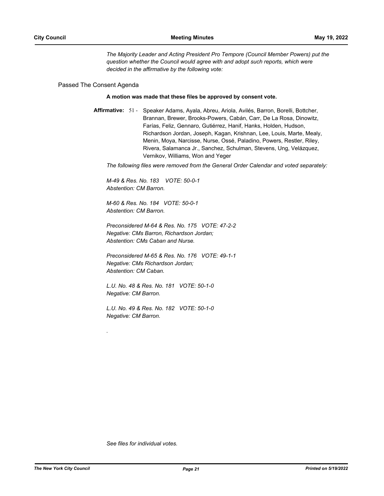*The Majority Leader and Acting President Pro Tempore (Council Member Powers) put the question whether the Council would agree with and adopt such reports, which were decided in the affirmative by the following vote:*

### Passed The Consent Agenda

#### **A motion was made that these files be approved by consent vote.**

Affirmative: 51 - Speaker Adams, Ayala, Abreu, Ariola, Avilés, Barron, Borelli, Bottcher, Brannan, Brewer, Brooks-Powers, Cabán, Carr, De La Rosa, Dinowitz, Farías, Feliz, Gennaro, Gutiérrez, Hanif, Hanks, Holden, Hudson, Richardson Jordan, Joseph, Kagan, Krishnan, Lee, Louis, Marte, Mealy, Menin, Moya, Narcisse, Nurse, Ossé, Paladino, Powers, Restler, Riley, Rivera, Salamanca Jr., Sanchez, Schulman, Stevens, Ung, Velázquez, Vernikov, Williams, Won and Yeger

*The following files were removed from the General Order Calendar and voted separately:*

*M-49 & Res. No. 183 VOTE: 50-0-1 Abstention: CM Barron.*

*M-60 & Res. No. 184 VOTE: 50-0-1 Abstention: CM Barron.*

*Preconsidered M-64 & Res. No. 175 VOTE: 47-2-2 Negative: CMs Barron, Richardson Jordan; Abstention: CMs Caban and Nurse.*

*Preconsidered M-65 & Res. No. 176 VOTE: 49-1-1 Negative: CMs Richardson Jordan; Abstention: CM Caban.*

*L.U. No. 48 & Res. No. 181 VOTE: 50-1-0 Negative: CM Barron.*

*L.U. No. 49 & Res. No. 182 VOTE: 50-1-0 Negative: CM Barron.*

*.*

*See files for individual votes.*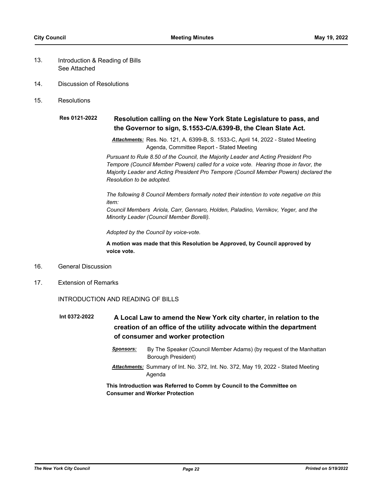- Introduction & Reading of Bills See Attached 13.
- 14. Discussion of Resolutions
- 15. Resolutions

#### **Resolution calling on the New York State Legislature to pass, and the Governor to sign, S.1553-C/A.6399-B, the Clean Slate Act. Res 0121-2022**

*Attachments:* Res. No. 121, A. 6399-B, S. 1533-C, April 14, 2022 - Stated Meeting Agenda, Committee Report - Stated Meeting

*Pursuant to Rule 8.50 of the Council, the Majority Leader and Acting President Pro Tempore (Council Member Powers) called for a voice vote. Hearing those in favor, the Majority Leader and Acting President Pro Tempore (Council Member Powers) declared the Resolution to be adopted.*

*The following 8 Council Members formally noted their intention to vote negative on this item:*

*Council Members Ariola, Carr, Gennaro, Holden, Paladino, Vernikov, Yeger, and the Minority Leader (Council Member Borelli).*

*Adopted by the Council by voice-vote.*

**A motion was made that this Resolution be Approved, by Council approved by voice vote.**

- 16. General Discussion
- 17. Extension of Remarks

## INTRODUCTION AND READING OF BILLS

- **A Local Law to amend the New York city charter, in relation to the creation of an office of the utility advocate within the department of consumer and worker protection Int 0372-2022**
	- *Sponsors:* By The Speaker (Council Member Adams) (by request of the Manhattan Borough President)
	- *Attachments:* Summary of Int. No. 372, Int. No. 372, May 19, 2022 Stated Meeting Agenda

## **This Introduction was Referred to Comm by Council to the Committee on Consumer and Worker Protection**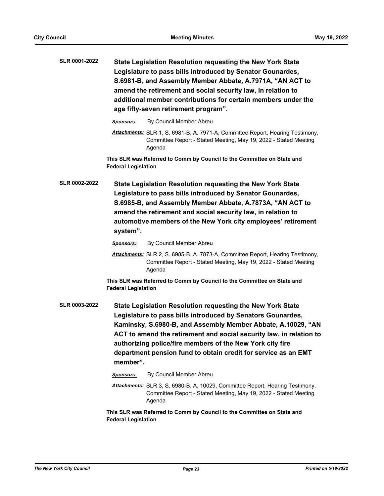| <b>SLR 0001-2022</b> | State Legislation Resolution requesting the New York State<br>Legislature to pass bills introduced by Senator Gounardes,<br>S.6981-B, and Assembly Member Abbate, A.7971A, "AN ACT to<br>amend the retirement and social security law, in relation to<br>additional member contributions for certain members under the<br>age fifty-seven retirement program".                                              |
|----------------------|-------------------------------------------------------------------------------------------------------------------------------------------------------------------------------------------------------------------------------------------------------------------------------------------------------------------------------------------------------------------------------------------------------------|
|                      | By Council Member Abreu<br>Sponsors:                                                                                                                                                                                                                                                                                                                                                                        |
|                      | Attachments: SLR 1, S. 6981-B, A. 7971-A, Committee Report, Hearing Testimony,<br>Committee Report - Stated Meeting, May 19, 2022 - Stated Meeting<br>Agenda                                                                                                                                                                                                                                                |
|                      | This SLR was Referred to Comm by Council to the Committee on State and<br><b>Federal Legislation</b>                                                                                                                                                                                                                                                                                                        |
| <b>SLR 0002-2022</b> | State Legislation Resolution requesting the New York State<br>Legislature to pass bills introduced by Senator Gounardes,<br>S.6985-B, and Assembly Member Abbate, A.7873A, "AN ACT to<br>amend the retirement and social security law, in relation to<br>automotive members of the New York city employees' retirement<br>system".                                                                          |
|                      | By Council Member Abreu<br>Sponsors:                                                                                                                                                                                                                                                                                                                                                                        |
|                      | Attachments: SLR 2, S. 6985-B, A. 7873-A, Committee Report, Hearing Testimony,<br>Committee Report - Stated Meeting, May 19, 2022 - Stated Meeting<br>Agenda                                                                                                                                                                                                                                                |
|                      | This SLR was Referred to Comm by Council to the Committee on State and<br><b>Federal Legislation</b>                                                                                                                                                                                                                                                                                                        |
| <b>SLR 0003-2022</b> | State Legislation Resolution requesting the New York State<br>Legislature to pass bills introduced by Senators Gounardes,<br>Kaminsky, S.6980-B, and Assembly Member Abbate, A.10029, "AN<br>ACT to amend the retirement and social security law, in relation to<br>authorizing police/fire members of the New York city fire<br>department pension fund to obtain credit for service as an EMT<br>member". |
|                      | By Council Member Abreu<br>Sponsors:                                                                                                                                                                                                                                                                                                                                                                        |
|                      | Attachments: SLR 3, S. 6980-B, A. 10029, Committee Report, Hearing Testimony,<br>Committee Report - Stated Meeting, May 19, 2022 - Stated Meeting<br>Agenda                                                                                                                                                                                                                                                 |
|                      | This SLR was Referred to Comm by Council to the Committee on State and<br><b>Federal Legislation</b>                                                                                                                                                                                                                                                                                                        |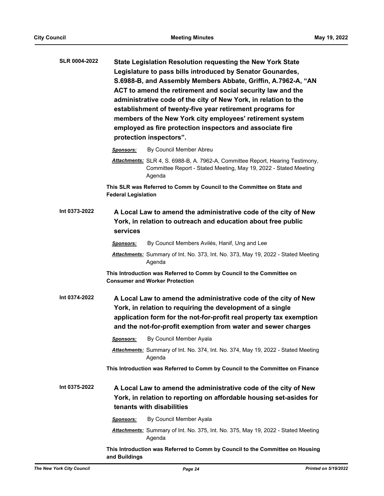| <b>SLR 0004-2022</b> | <b>State Legislation Resolution requesting the New York State</b><br>Legislature to pass bills introduced by Senator Gounardes,<br>S.6988-B, and Assembly Members Abbate, Griffin, A.7962-A, "AN<br>ACT to amend the retirement and social security law and the<br>administrative code of the city of New York, in relation to the<br>establishment of twenty-five year retirement programs for<br>members of the New York city employees' retirement system<br>employed as fire protection inspectors and associate fire<br>protection inspectors". |
|----------------------|------------------------------------------------------------------------------------------------------------------------------------------------------------------------------------------------------------------------------------------------------------------------------------------------------------------------------------------------------------------------------------------------------------------------------------------------------------------------------------------------------------------------------------------------------|
|                      | By Council Member Abreu<br>Sponsors:                                                                                                                                                                                                                                                                                                                                                                                                                                                                                                                 |
|                      | Attachments: SLR 4, S. 6988-B, A. 7962-A, Committee Report, Hearing Testimony,<br>Committee Report - Stated Meeting, May 19, 2022 - Stated Meeting<br>Agenda                                                                                                                                                                                                                                                                                                                                                                                         |
|                      | This SLR was Referred to Comm by Council to the Committee on State and<br><b>Federal Legislation</b>                                                                                                                                                                                                                                                                                                                                                                                                                                                 |
| Int 0373-2022        | A Local Law to amend the administrative code of the city of New<br>York, in relation to outreach and education about free public<br>services                                                                                                                                                                                                                                                                                                                                                                                                         |
|                      | By Council Members Avilés, Hanif, Ung and Lee<br>Sponsors:                                                                                                                                                                                                                                                                                                                                                                                                                                                                                           |
|                      | Attachments: Summary of Int. No. 373, Int. No. 373, May 19, 2022 - Stated Meeting<br>Agenda                                                                                                                                                                                                                                                                                                                                                                                                                                                          |
|                      | This Introduction was Referred to Comm by Council to the Committee on<br><b>Consumer and Worker Protection</b>                                                                                                                                                                                                                                                                                                                                                                                                                                       |
| Int 0374-2022        | A Local Law to amend the administrative code of the city of New<br>York, in relation to requiring the development of a single<br>application form for the not-for-profit real property tax exemption<br>and the not-for-profit exemption from water and sewer charges                                                                                                                                                                                                                                                                                |
|                      | By Council Member Ayala<br><b>Sponsors:</b>                                                                                                                                                                                                                                                                                                                                                                                                                                                                                                          |
|                      | Attachments: Summary of Int. No. 374, Int. No. 374, May 19, 2022 - Stated Meeting<br>Agenda                                                                                                                                                                                                                                                                                                                                                                                                                                                          |
|                      | This Introduction was Referred to Comm by Council to the Committee on Finance                                                                                                                                                                                                                                                                                                                                                                                                                                                                        |
| Int 0375-2022        | A Local Law to amend the administrative code of the city of New<br>York, in relation to reporting on affordable housing set-asides for<br>tenants with disabilities                                                                                                                                                                                                                                                                                                                                                                                  |
|                      | By Council Member Ayala<br><u>Sponsors:</u>                                                                                                                                                                                                                                                                                                                                                                                                                                                                                                          |
|                      | Attachments: Summary of Int. No. 375, Int. No. 375, May 19, 2022 - Stated Meeting<br>Agenda                                                                                                                                                                                                                                                                                                                                                                                                                                                          |
|                      | This Introduction was Referred to Comm by Council to the Committee on Housing<br>and Buildings                                                                                                                                                                                                                                                                                                                                                                                                                                                       |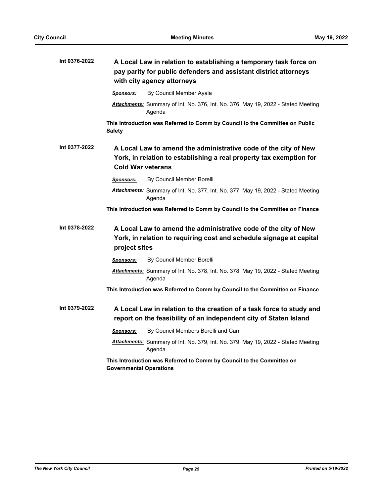| Int 0376-2022 |                                | A Local Law in relation to establishing a temporary task force on<br>pay parity for public defenders and assistant district attorneys<br>with city agency attorneys |
|---------------|--------------------------------|---------------------------------------------------------------------------------------------------------------------------------------------------------------------|
|               | <b>Sponsors:</b>               | By Council Member Ayala                                                                                                                                             |
|               |                                | Attachments: Summary of Int. No. 376, Int. No. 376, May 19, 2022 - Stated Meeting<br>Agenda                                                                         |
|               | <b>Safety</b>                  | This Introduction was Referred to Comm by Council to the Committee on Public                                                                                        |
| Int 0377-2022 | <b>Cold War veterans</b>       | A Local Law to amend the administrative code of the city of New<br>York, in relation to establishing a real property tax exemption for                              |
|               | <b>Sponsors:</b>               | By Council Member Borelli                                                                                                                                           |
|               |                                | Attachments: Summary of Int. No. 377, Int. No. 377, May 19, 2022 - Stated Meeting<br>Agenda                                                                         |
|               |                                | This Introduction was Referred to Comm by Council to the Committee on Finance                                                                                       |
| Int 0378-2022 | project sites                  | A Local Law to amend the administrative code of the city of New<br>York, in relation to requiring cost and schedule signage at capital                              |
|               | <b>Sponsors:</b>               | By Council Member Borelli                                                                                                                                           |
|               |                                | Attachments: Summary of Int. No. 378, Int. No. 378, May 19, 2022 - Stated Meeting<br>Agenda                                                                         |
|               |                                | This Introduction was Referred to Comm by Council to the Committee on Finance                                                                                       |
| Int 0379-2022 |                                | A Local Law in relation to the creation of a task force to study and<br>report on the feasibility of an independent city of Staten Island                           |
|               | <b>Sponsors:</b>               | By Council Members Borelli and Carr                                                                                                                                 |
|               |                                | Attachments: Summary of Int. No. 379, Int. No. 379, May 19, 2022 - Stated Meeting<br>Agenda                                                                         |
|               | <b>Governmental Operations</b> | This Introduction was Referred to Comm by Council to the Committee on                                                                                               |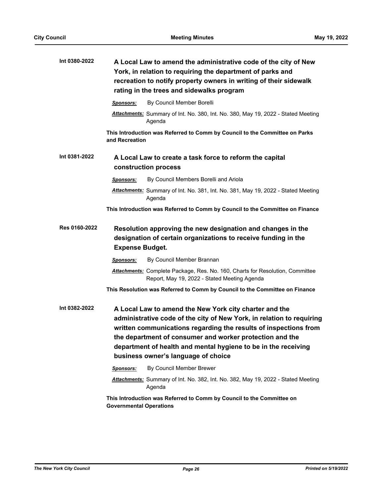| Int 0380-2022 | A Local Law to amend the administrative code of the city of New<br>York, in relation to requiring the department of parks and<br>recreation to notify property owners in writing of their sidewalk<br>rating in the trees and sidewalks program                                                                                                                          |
|---------------|--------------------------------------------------------------------------------------------------------------------------------------------------------------------------------------------------------------------------------------------------------------------------------------------------------------------------------------------------------------------------|
|               | By Council Member Borelli<br><b>Sponsors:</b>                                                                                                                                                                                                                                                                                                                            |
|               | Attachments: Summary of Int. No. 380, Int. No. 380, May 19, 2022 - Stated Meeting<br>Agenda                                                                                                                                                                                                                                                                              |
|               | This Introduction was Referred to Comm by Council to the Committee on Parks<br>and Recreation                                                                                                                                                                                                                                                                            |
| Int 0381-2022 | A Local Law to create a task force to reform the capital<br>construction process                                                                                                                                                                                                                                                                                         |
|               | By Council Members Borelli and Ariola<br><b>Sponsors:</b>                                                                                                                                                                                                                                                                                                                |
|               | Attachments: Summary of Int. No. 381, Int. No. 381, May 19, 2022 - Stated Meeting<br>Agenda                                                                                                                                                                                                                                                                              |
|               | This Introduction was Referred to Comm by Council to the Committee on Finance                                                                                                                                                                                                                                                                                            |
| Res 0160-2022 | Resolution approving the new designation and changes in the<br>designation of certain organizations to receive funding in the<br><b>Expense Budget.</b>                                                                                                                                                                                                                  |
|               | By Council Member Brannan<br><b>Sponsors:</b>                                                                                                                                                                                                                                                                                                                            |
|               | Attachments: Complete Package, Res. No. 160, Charts for Resolution, Committee<br>Report, May 19, 2022 - Stated Meeting Agenda                                                                                                                                                                                                                                            |
|               | This Resolution was Referred to Comm by Council to the Committee on Finance                                                                                                                                                                                                                                                                                              |
| Int 0382-2022 | A Local Law to amend the New York city charter and the<br>administrative code of the city of New York, in relation to requiring<br>written communications regarding the results of inspections from<br>the department of consumer and worker protection and the<br>department of health and mental hygiene to be in the receiving<br>business owner's language of choice |
|               | By Council Member Brewer<br><b>Sponsors:</b>                                                                                                                                                                                                                                                                                                                             |
|               | Attachments: Summary of Int. No. 382, Int. No. 382, May 19, 2022 - Stated Meeting<br>Agenda                                                                                                                                                                                                                                                                              |
|               | This Introduction was Referred to Comm by Council to the Committee on<br><b>Governmental Operations</b>                                                                                                                                                                                                                                                                  |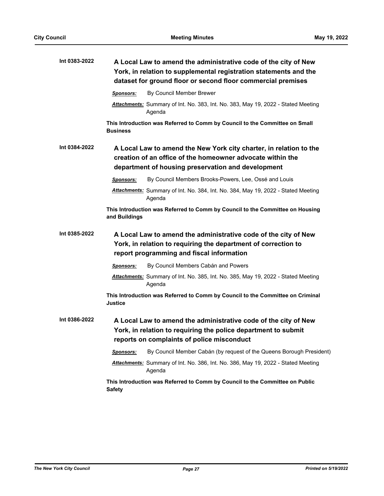| Int 0383-2022 | A Local Law to amend the administrative code of the city of New<br>York, in relation to supplemental registration statements and the<br>dataset for ground floor or second floor commercial premises |
|---------------|------------------------------------------------------------------------------------------------------------------------------------------------------------------------------------------------------|
|               | By Council Member Brewer<br><b>Sponsors:</b>                                                                                                                                                         |
|               | Attachments: Summary of Int. No. 383, Int. No. 383, May 19, 2022 - Stated Meeting<br>Agenda                                                                                                          |
|               | This Introduction was Referred to Comm by Council to the Committee on Small<br><b>Business</b>                                                                                                       |
| Int 0384-2022 | A Local Law to amend the New York city charter, in relation to the<br>creation of an office of the homeowner advocate within the<br>department of housing preservation and development               |
|               | By Council Members Brooks-Powers, Lee, Ossé and Louis<br><b>Sponsors:</b>                                                                                                                            |
|               | Attachments: Summary of Int. No. 384, Int. No. 384, May 19, 2022 - Stated Meeting<br>Agenda                                                                                                          |
|               | This Introduction was Referred to Comm by Council to the Committee on Housing<br>and Buildings                                                                                                       |
| Int 0385-2022 | A Local Law to amend the administrative code of the city of New<br>York, in relation to requiring the department of correction to<br>report programming and fiscal information                       |
|               | By Council Members Cabán and Powers<br><b>Sponsors:</b>                                                                                                                                              |
|               | Attachments: Summary of Int. No. 385, Int. No. 385, May 19, 2022 - Stated Meeting<br>Agenda                                                                                                          |
|               | This Introduction was Referred to Comm by Council to the Committee on Criminal<br>Justice                                                                                                            |
| Int 0386-2022 | A Local Law to amend the administrative code of the city of New<br>York, in relation to requiring the police department to submit<br>reports on complaints of police misconduct                      |
|               | By Council Member Cabán (by request of the Queens Borough President)<br><b>Sponsors:</b>                                                                                                             |
|               | <b>Attachments:</b> Summary of Int. No. 386, Int. No. 386, May 19, 2022 - Stated Meeting<br>Agenda                                                                                                   |
|               | This Introduction was Referred to Comm by Council to the Committee on Public<br><b>Safety</b>                                                                                                        |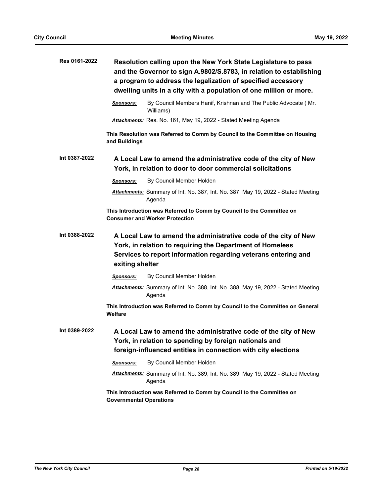| Res 0161-2022 | Resolution calling upon the New York State Legislature to pass<br>and the Governor to sign A.9802/S.8783, in relation to establishing<br>a program to address the legalization of specified accessory<br>dwelling units in a city with a population of one million or more. |  |
|---------------|-----------------------------------------------------------------------------------------------------------------------------------------------------------------------------------------------------------------------------------------------------------------------------|--|
|               | By Council Members Hanif, Krishnan and The Public Advocate (Mr.<br>Sponsors:<br>Williams)                                                                                                                                                                                   |  |
|               | Attachments: Res. No. 161, May 19, 2022 - Stated Meeting Agenda                                                                                                                                                                                                             |  |
|               | This Resolution was Referred to Comm by Council to the Committee on Housing<br>and Buildings                                                                                                                                                                                |  |
| Int 0387-2022 | A Local Law to amend the administrative code of the city of New<br>York, in relation to door to door commercial solicitations                                                                                                                                               |  |
|               | By Council Member Holden<br>Sponsors:                                                                                                                                                                                                                                       |  |
|               | Attachments: Summary of Int. No. 387, Int. No. 387, May 19, 2022 - Stated Meeting<br>Agenda                                                                                                                                                                                 |  |
|               | This Introduction was Referred to Comm by Council to the Committee on<br><b>Consumer and Worker Protection</b>                                                                                                                                                              |  |
| Int 0388-2022 | A Local Law to amend the administrative code of the city of New<br>York, in relation to requiring the Department of Homeless<br>Services to report information regarding veterans entering and<br>exiting shelter                                                           |  |
|               | By Council Member Holden<br>Sponsors:                                                                                                                                                                                                                                       |  |
|               | Attachments: Summary of Int. No. 388, Int. No. 388, May 19, 2022 - Stated Meeting<br>Agenda                                                                                                                                                                                 |  |
|               | This Introduction was Referred to Comm by Council to the Committee on General<br>Welfare                                                                                                                                                                                    |  |
| Int 0389-2022 | A Local Law to amend the administrative code of the city of New<br>York, in relation to spending by foreign nationals and<br>foreign-influenced entities in connection with city elections                                                                                  |  |
|               | By Council Member Holden<br>Sponsors:                                                                                                                                                                                                                                       |  |
|               | Attachments: Summary of Int. No. 389, Int. No. 389, May 19, 2022 - Stated Meeting<br>Agenda                                                                                                                                                                                 |  |
|               | This Introduction was Referred to Comm by Council to the Committee on<br><b>Governmental Operations</b>                                                                                                                                                                     |  |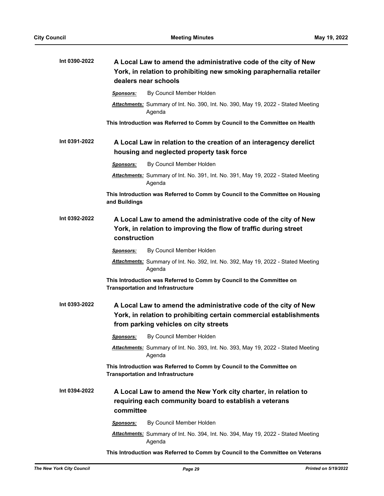| Int 0390-2022 | A Local Law to amend the administrative code of the city of New<br>York, in relation to prohibiting new smoking paraphernalia retailer<br>dealers near schools                 |
|---------------|--------------------------------------------------------------------------------------------------------------------------------------------------------------------------------|
|               | By Council Member Holden<br>Sponsors:                                                                                                                                          |
|               | Attachments: Summary of Int. No. 390, Int. No. 390, May 19, 2022 - Stated Meeting<br>Agenda                                                                                    |
|               | This Introduction was Referred to Comm by Council to the Committee on Health                                                                                                   |
| Int 0391-2022 | A Local Law in relation to the creation of an interagency derelict<br>housing and neglected property task force                                                                |
|               | By Council Member Holden<br><b>Sponsors:</b>                                                                                                                                   |
|               | Attachments: Summary of Int. No. 391, Int. No. 391, May 19, 2022 - Stated Meeting<br>Agenda                                                                                    |
|               | This Introduction was Referred to Comm by Council to the Committee on Housing<br>and Buildings                                                                                 |
| Int 0392-2022 | A Local Law to amend the administrative code of the city of New<br>York, in relation to improving the flow of traffic during street<br>construction                            |
|               | By Council Member Holden<br><b>Sponsors:</b>                                                                                                                                   |
|               | Attachments: Summary of Int. No. 392, Int. No. 392, May 19, 2022 - Stated Meeting<br>Agenda                                                                                    |
|               | This Introduction was Referred to Comm by Council to the Committee on<br><b>Transportation and Infrastructure</b>                                                              |
| Int 0393-2022 | A Local Law to amend the administrative code of the city of New<br>York, in relation to prohibiting certain commercial establishments<br>from parking vehicles on city streets |
|               | Sponsors: By Council Member Holden                                                                                                                                             |
|               | Attachments: Summary of Int. No. 393, Int. No. 393, May 19, 2022 - Stated Meeting<br>Agenda                                                                                    |
|               | This Introduction was Referred to Comm by Council to the Committee on<br><b>Transportation and Infrastructure</b>                                                              |
| Int 0394-2022 | A Local Law to amend the New York city charter, in relation to<br>requiring each community board to establish a veterans<br>committee                                          |
|               | By Council Member Holden<br>Sponsors:                                                                                                                                          |
|               | Attachments: Summary of Int. No. 394, Int. No. 394, May 19, 2022 - Stated Meeting<br>Agenda                                                                                    |
|               | This Introduction was Referred to Comm by Council to the Committee on Veterans                                                                                                 |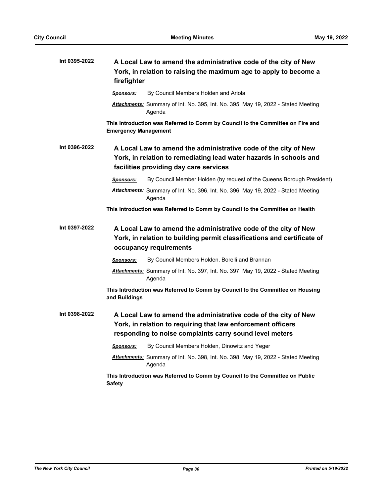| Int 0395-2022 | A Local Law to amend the administrative code of the city of New<br>York, in relation to raising the maximum age to apply to become a<br>firefighter                                        |
|---------------|--------------------------------------------------------------------------------------------------------------------------------------------------------------------------------------------|
|               | By Council Members Holden and Ariola<br><b>Sponsors:</b>                                                                                                                                   |
|               | Attachments: Summary of Int. No. 395, Int. No. 395, May 19, 2022 - Stated Meeting<br>Agenda                                                                                                |
|               | This Introduction was Referred to Comm by Council to the Committee on Fire and<br><b>Emergency Management</b>                                                                              |
| Int 0396-2022 | A Local Law to amend the administrative code of the city of New<br>York, in relation to remediating lead water hazards in schools and<br>facilities providing day care services            |
|               | By Council Member Holden (by request of the Queens Borough President)<br><b>Sponsors:</b>                                                                                                  |
|               | Attachments: Summary of Int. No. 396, Int. No. 396, May 19, 2022 - Stated Meeting<br>Agenda                                                                                                |
|               | This Introduction was Referred to Comm by Council to the Committee on Health                                                                                                               |
| Int 0397-2022 | A Local Law to amend the administrative code of the city of New<br>York, in relation to building permit classifications and certificate of<br>occupancy requirements                       |
|               | By Council Members Holden, Borelli and Brannan<br><b>Sponsors:</b>                                                                                                                         |
|               | <b>Attachments:</b> Summary of Int. No. 397, Int. No. 397, May 19, 2022 - Stated Meeting<br>Agenda                                                                                         |
|               | This Introduction was Referred to Comm by Council to the Committee on Housing<br>and Buildings                                                                                             |
| Int 0398-2022 | A Local Law to amend the administrative code of the city of New<br>York, in relation to requiring that law enforcement officers<br>responding to noise complaints carry sound level meters |
|               | By Council Members Holden, Dinowitz and Yeger<br><u>Sponsors:</u>                                                                                                                          |
|               | Attachments: Summary of Int. No. 398, Int. No. 398, May 19, 2022 - Stated Meeting<br>Agenda                                                                                                |
|               | This Introduction was Referred to Comm by Council to the Committee on Public<br><b>Safety</b>                                                                                              |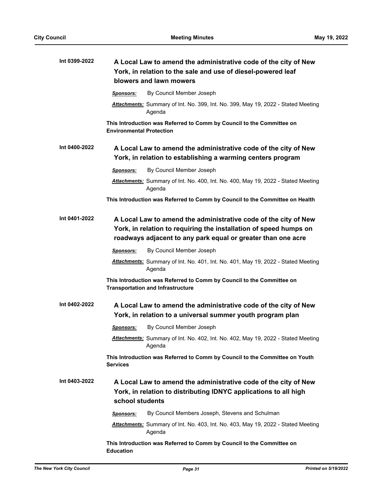| Int 0399-2022 | A Local Law to amend the administrative code of the city of New<br>York, in relation to the sale and use of diesel-powered leaf<br>blowers and lawn mowers                                           |
|---------------|------------------------------------------------------------------------------------------------------------------------------------------------------------------------------------------------------|
|               | By Council Member Joseph<br><b>Sponsors:</b>                                                                                                                                                         |
|               | Attachments: Summary of Int. No. 399, Int. No. 399, May 19, 2022 - Stated Meeting<br>Agenda                                                                                                          |
|               | This Introduction was Referred to Comm by Council to the Committee on<br><b>Environmental Protection</b>                                                                                             |
| Int 0400-2022 | A Local Law to amend the administrative code of the city of New<br>York, in relation to establishing a warming centers program                                                                       |
|               | By Council Member Joseph<br><b>Sponsors:</b>                                                                                                                                                         |
|               | Attachments: Summary of Int. No. 400, Int. No. 400, May 19, 2022 - Stated Meeting<br>Agenda                                                                                                          |
|               | This Introduction was Referred to Comm by Council to the Committee on Health                                                                                                                         |
| Int 0401-2022 | A Local Law to amend the administrative code of the city of New<br>York, in relation to requiring the installation of speed humps on<br>roadways adjacent to any park equal or greater than one acre |
|               | By Council Member Joseph<br><b>Sponsors:</b>                                                                                                                                                         |
|               | Attachments: Summary of Int. No. 401, Int. No. 401, May 19, 2022 - Stated Meeting<br>Agenda                                                                                                          |
|               | This Introduction was Referred to Comm by Council to the Committee on<br><b>Transportation and Infrastructure</b>                                                                                    |
| Int 0402-2022 | A Local Law to amend the administrative code of the city of New<br>York, in relation to a universal summer youth program plan                                                                        |
|               | By Council Member Joseph<br><u>Sponsors:</u>                                                                                                                                                         |
|               | Attachments: Summary of Int. No. 402, Int. No. 402, May 19, 2022 - Stated Meeting<br>Agenda                                                                                                          |
|               | This Introduction was Referred to Comm by Council to the Committee on Youth<br><b>Services</b>                                                                                                       |
| Int 0403-2022 | A Local Law to amend the administrative code of the city of New<br>York, in relation to distributing IDNYC applications to all high<br>school students                                               |
|               | By Council Members Joseph, Stevens and Schulman<br>Sponsors:                                                                                                                                         |
|               | <b>Attachments:</b> Summary of Int. No. 403, Int. No. 403, May 19, 2022 - Stated Meeting<br>Agenda                                                                                                   |
|               | This Introduction was Referred to Comm by Council to the Committee on<br><b>Education</b>                                                                                                            |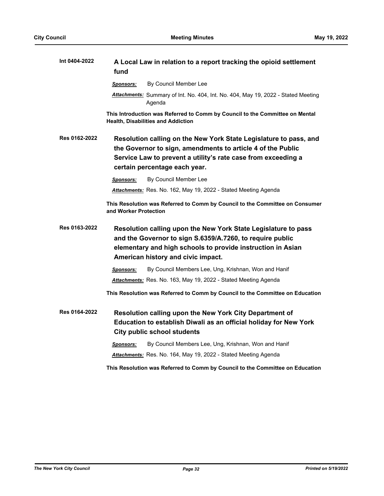| Int 0404-2022 | A Local Law in relation to a report tracking the opioid settlement<br>fund                                                                                                                                                         |
|---------------|------------------------------------------------------------------------------------------------------------------------------------------------------------------------------------------------------------------------------------|
|               | By Council Member Lee<br>Sponsors:                                                                                                                                                                                                 |
|               | <b>Attachments:</b> Summary of Int. No. 404, Int. No. 404, May 19, 2022 - Stated Meeting<br>Agenda                                                                                                                                 |
|               | This Introduction was Referred to Comm by Council to the Committee on Mental<br><b>Health, Disabilities and Addiction</b>                                                                                                          |
| Res 0162-2022 | Resolution calling on the New York State Legislature to pass, and<br>the Governor to sign, amendments to article 4 of the Public<br>Service Law to prevent a utility's rate case from exceeding a<br>certain percentage each year. |
|               | By Council Member Lee<br>Sponsors:                                                                                                                                                                                                 |
|               | Attachments: Res. No. 162, May 19, 2022 - Stated Meeting Agenda                                                                                                                                                                    |
|               | This Resolution was Referred to Comm by Council to the Committee on Consumer<br>and Worker Protection                                                                                                                              |
| Res 0163-2022 | Resolution calling upon the New York State Legislature to pass<br>and the Governor to sign S.6359/A.7260, to require public<br>elementary and high schools to provide instruction in Asian<br>American history and civic impact.   |
|               | By Council Members Lee, Ung, Krishnan, Won and Hanif<br>Sponsors:                                                                                                                                                                  |
|               | Attachments: Res. No. 163, May 19, 2022 - Stated Meeting Agenda                                                                                                                                                                    |
|               | This Resolution was Referred to Comm by Council to the Committee on Education                                                                                                                                                      |
| Res 0164-2022 | Resolution calling upon the New York City Department of<br>Education to establish Diwali as an official holiday for New York<br><b>City public school students</b>                                                                 |
|               | By Council Members Lee, Ung, Krishnan, Won and Hanif<br>Sponsors:                                                                                                                                                                  |
|               | Attachments: Res. No. 164, May 19, 2022 - Stated Meeting Agenda                                                                                                                                                                    |
|               | This Resolution was Referred to Comm by Council to the Committee on Education                                                                                                                                                      |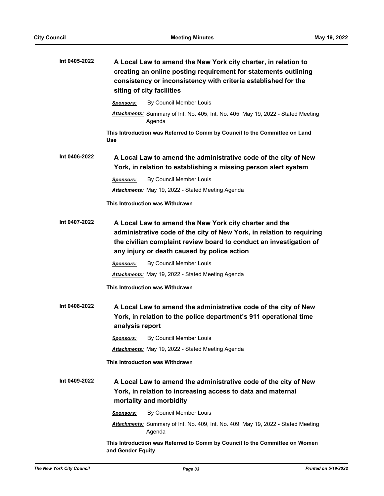| Int 0405-2022 | A Local Law to amend the New York city charter, in relation to<br>creating an online posting requirement for statements outlining<br>consistency or inconsistency with criteria established for the<br>siting of city facilities                     |
|---------------|------------------------------------------------------------------------------------------------------------------------------------------------------------------------------------------------------------------------------------------------------|
|               | By Council Member Louis<br><b>Sponsors:</b>                                                                                                                                                                                                          |
|               | Attachments: Summary of Int. No. 405, Int. No. 405, May 19, 2022 - Stated Meeting<br>Agenda                                                                                                                                                          |
|               | This Introduction was Referred to Comm by Council to the Committee on Land<br>Use                                                                                                                                                                    |
| Int 0406-2022 | A Local Law to amend the administrative code of the city of New<br>York, in relation to establishing a missing person alert system                                                                                                                   |
|               | By Council Member Louis<br>Sponsors:                                                                                                                                                                                                                 |
|               | <b>Attachments:</b> May 19, 2022 - Stated Meeting Agenda                                                                                                                                                                                             |
|               | This Introduction was Withdrawn                                                                                                                                                                                                                      |
| Int 0407-2022 | A Local Law to amend the New York city charter and the<br>administrative code of the city of New York, in relation to requiring<br>the civilian complaint review board to conduct an investigation of<br>any injury or death caused by police action |
|               | By Council Member Louis<br><u>Sponsors:</u>                                                                                                                                                                                                          |
|               | <b>Attachments:</b> May 19, 2022 - Stated Meeting Agenda                                                                                                                                                                                             |
|               | This Introduction was Withdrawn                                                                                                                                                                                                                      |
| Int 0408-2022 | A Local Law to amend the administrative code of the city of New<br>York, in relation to the police department's 911 operational time<br>analysis report                                                                                              |
|               | By Council Member Louis<br><b>Sponsors:</b>                                                                                                                                                                                                          |
|               | <b>Attachments:</b> May 19, 2022 - Stated Meeting Agenda                                                                                                                                                                                             |
|               | This Introduction was Withdrawn                                                                                                                                                                                                                      |
| Int 0409-2022 | A Local Law to amend the administrative code of the city of New<br>York, in relation to increasing access to data and maternal<br>mortality and morbidity                                                                                            |
|               | By Council Member Louis<br><b>Sponsors:</b>                                                                                                                                                                                                          |
|               | Attachments: Summary of Int. No. 409, Int. No. 409, May 19, 2022 - Stated Meeting<br>Agenda                                                                                                                                                          |
|               | This Introduction was Referred to Comm by Council to the Committee on Women<br>and Gender Equity                                                                                                                                                     |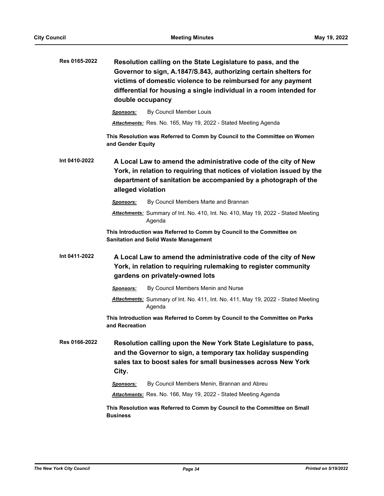| Res 0165-2022 | Resolution calling on the State Legislature to pass, and the<br>Governor to sign, A.1847/S.843, authorizing certain shelters for<br>victims of domestic violence to be reimbursed for any payment<br>differential for housing a single individual in a room intended for<br>double occupancy |
|---------------|----------------------------------------------------------------------------------------------------------------------------------------------------------------------------------------------------------------------------------------------------------------------------------------------|
|               | By Council Member Louis<br><b>Sponsors:</b>                                                                                                                                                                                                                                                  |
|               | Attachments: Res. No. 165, May 19, 2022 - Stated Meeting Agenda                                                                                                                                                                                                                              |
|               | This Resolution was Referred to Comm by Council to the Committee on Women<br>and Gender Equity                                                                                                                                                                                               |
| Int 0410-2022 | A Local Law to amend the administrative code of the city of New<br>York, in relation to requiring that notices of violation issued by the<br>department of sanitation be accompanied by a photograph of the<br>alleged violation                                                             |
|               | By Council Members Marte and Brannan<br><b>Sponsors:</b>                                                                                                                                                                                                                                     |
|               | Attachments: Summary of Int. No. 410, Int. No. 410, May 19, 2022 - Stated Meeting<br>Agenda                                                                                                                                                                                                  |
|               | This Introduction was Referred to Comm by Council to the Committee on<br><b>Sanitation and Solid Waste Management</b>                                                                                                                                                                        |
| Int 0411-2022 | A Local Law to amend the administrative code of the city of New<br>York, in relation to requiring rulemaking to register community<br>gardens on privately-owned lots                                                                                                                        |
|               | By Council Members Menin and Nurse<br>Sponsors:                                                                                                                                                                                                                                              |
|               | Attachments: Summary of Int. No. 411, Int. No. 411, May 19, 2022 - Stated Meeting<br>Agenda                                                                                                                                                                                                  |
|               | This Introduction was Referred to Comm by Council to the Committee on Parks<br>and Recreation                                                                                                                                                                                                |
| Res 0166-2022 | Resolution calling upon the New York State Legislature to pass,<br>and the Governor to sign, a temporary tax holiday suspending<br>sales tax to boost sales for small businesses across New York<br>City.                                                                                    |
|               | By Council Members Menin, Brannan and Abreu<br>Sponsors:                                                                                                                                                                                                                                     |
|               | Attachments: Res. No. 166, May 19, 2022 - Stated Meeting Agenda                                                                                                                                                                                                                              |
|               | This Resolution was Referred to Comm by Council to the Committee on Small<br><b>Business</b>                                                                                                                                                                                                 |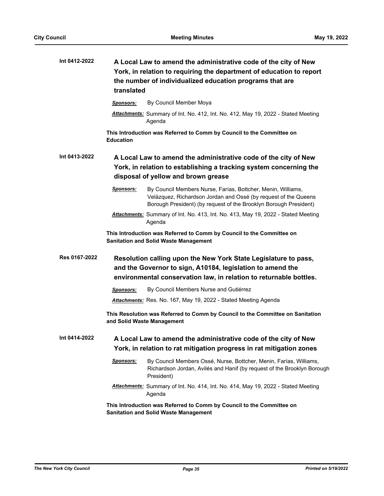| Int 0412-2022 | A Local Law to amend the administrative code of the city of New<br>York, in relation to requiring the department of education to report<br>the number of individualized education programs that are<br>translated |
|---------------|-------------------------------------------------------------------------------------------------------------------------------------------------------------------------------------------------------------------|
|               | By Council Member Moya<br><b>Sponsors:</b>                                                                                                                                                                        |
|               | <b>Attachments:</b> Summary of Int. No. 412, Int. No. 412, May 19, 2022 - Stated Meeting<br>Agenda                                                                                                                |
|               | This Introduction was Referred to Comm by Council to the Committee on<br><b>Education</b>                                                                                                                         |
| Int 0413-2022 | A Local Law to amend the administrative code of the city of New<br>York, in relation to establishing a tracking system concerning the<br>disposal of yellow and brown grease                                      |
|               | Sponsors:<br>By Council Members Nurse, Farías, Bottcher, Menin, Williams,<br>Velázquez, Richardson Jordan and Ossé (by request of the Queens<br>Borough President) (by request of the Brooklyn Borough President) |
|               | Attachments: Summary of Int. No. 413, Int. No. 413, May 19, 2022 - Stated Meeting<br>Agenda                                                                                                                       |
|               | This Introduction was Referred to Comm by Council to the Committee on<br><b>Sanitation and Solid Waste Management</b>                                                                                             |
| Res 0167-2022 | Resolution calling upon the New York State Legislature to pass,<br>and the Governor to sign, A10184, legislation to amend the<br>environmental conservation law, in relation to returnable bottles.               |
|               | By Council Members Nurse and Gutiérrez<br><b>Sponsors:</b>                                                                                                                                                        |
|               | Attachments: Res. No. 167, May 19, 2022 - Stated Meeting Agenda                                                                                                                                                   |
|               | This Resolution was Referred to Comm by Council to the Committee on Sanitation<br>and Solid Waste Management                                                                                                      |
| Int 0414-2022 | A Local Law to amend the administrative code of the city of New<br>York, in relation to rat mitigation progress in rat mitigation zones                                                                           |
|               | By Council Members Ossé, Nurse, Bottcher, Menin, Farías, Williams,<br>Sponsors:<br>Richardson Jordan, Avilés and Hanif (by request of the Brooklyn Borough<br>President)                                          |
|               | Attachments: Summary of Int. No. 414, Int. No. 414, May 19, 2022 - Stated Meeting<br>Agenda                                                                                                                       |
|               | This Introduction was Referred to Comm by Council to the Committee on<br><b>Sanitation and Solid Waste Management</b>                                                                                             |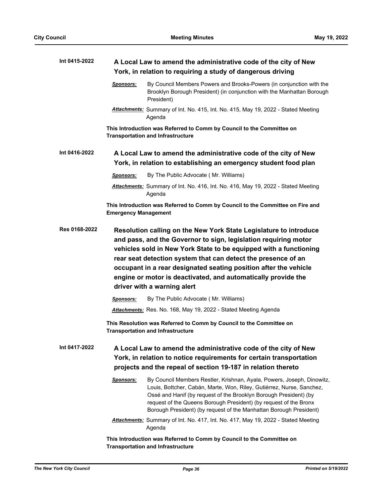| Int 0415-2022 | A Local Law to amend the administrative code of the city of New<br>York, in relation to requiring a study of dangerous driving                                                                                                                                                                                                                                                                                                                 |
|---------------|------------------------------------------------------------------------------------------------------------------------------------------------------------------------------------------------------------------------------------------------------------------------------------------------------------------------------------------------------------------------------------------------------------------------------------------------|
|               | By Council Members Powers and Brooks-Powers (in conjunction with the<br>Sponsors:<br>Brooklyn Borough President) (in conjunction with the Manhattan Borough<br>President)                                                                                                                                                                                                                                                                      |
|               | Attachments: Summary of Int. No. 415, Int. No. 415, May 19, 2022 - Stated Meeting<br>Agenda                                                                                                                                                                                                                                                                                                                                                    |
|               | This Introduction was Referred to Comm by Council to the Committee on<br><b>Transportation and Infrastructure</b>                                                                                                                                                                                                                                                                                                                              |
| Int 0416-2022 | A Local Law to amend the administrative code of the city of New                                                                                                                                                                                                                                                                                                                                                                                |
|               | York, in relation to establishing an emergency student food plan                                                                                                                                                                                                                                                                                                                                                                               |
|               | By The Public Advocate (Mr. Williams)<br><b>Sponsors:</b>                                                                                                                                                                                                                                                                                                                                                                                      |
|               | Attachments: Summary of Int. No. 416, Int. No. 416, May 19, 2022 - Stated Meeting<br>Agenda                                                                                                                                                                                                                                                                                                                                                    |
|               | This Introduction was Referred to Comm by Council to the Committee on Fire and<br><b>Emergency Management</b>                                                                                                                                                                                                                                                                                                                                  |
| Res 0168-2022 | Resolution calling on the New York State Legislature to introduce<br>and pass, and the Governor to sign, legislation requiring motor<br>vehicles sold in New York State to be equipped with a functioning<br>rear seat detection system that can detect the presence of an<br>occupant in a rear designated seating position after the vehicle<br>engine or motor is deactivated, and automatically provide the<br>driver with a warning alert |
|               | By The Public Advocate (Mr. Williams)<br>Sponsors:                                                                                                                                                                                                                                                                                                                                                                                             |
|               | Attachments: Res. No. 168, May 19, 2022 - Stated Meeting Agenda                                                                                                                                                                                                                                                                                                                                                                                |
|               | This Resolution was Referred to Comm by Council to the Committee on<br><b>Transportation and Infrastructure</b>                                                                                                                                                                                                                                                                                                                                |
| Int 0417-2022 | A Local Law to amend the administrative code of the city of New<br>York, in relation to notice requirements for certain transportation<br>projects and the repeal of section 19-187 in relation thereto                                                                                                                                                                                                                                        |
|               | By Council Members Restler, Krishnan, Ayala, Powers, Joseph, Dinowitz,<br><u>Sponsors:</u><br>Louis, Bottcher, Cabán, Marte, Won, Riley, Gutiérrez, Nurse, Sanchez,<br>Ossé and Hanif (by request of the Brooklyn Borough President) (by<br>request of the Queens Borough President) (by request of the Bronx<br>Borough President) (by request of the Manhattan Borough President)                                                            |
|               | Attachments: Summary of Int. No. 417, Int. No. 417, May 19, 2022 - Stated Meeting<br>Agenda                                                                                                                                                                                                                                                                                                                                                    |
|               | This Introduction was Referred to Comm by Council to the Committee on<br><b>Transportation and Infrastructure</b>                                                                                                                                                                                                                                                                                                                              |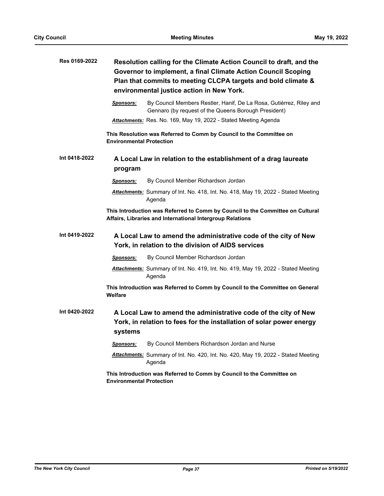| Res 0169-2022 |                                 | Resolution calling for the Climate Action Council to draft, and the<br>Governor to implement, a final Climate Action Council Scoping<br>Plan that commits to meeting CLCPA targets and bold climate &<br>environmental justice action in New York. |
|---------------|---------------------------------|----------------------------------------------------------------------------------------------------------------------------------------------------------------------------------------------------------------------------------------------------|
|               | Sponsors:                       | By Council Members Restler, Hanif, De La Rosa, Gutiérrez, Riley and<br>Gennaro (by request of the Queens Borough President)                                                                                                                        |
|               |                                 | Attachments: Res. No. 169, May 19, 2022 - Stated Meeting Agenda                                                                                                                                                                                    |
|               | <b>Environmental Protection</b> | This Resolution was Referred to Comm by Council to the Committee on                                                                                                                                                                                |
| Int 0418-2022 | program                         | A Local Law in relation to the establishment of a drag laureate                                                                                                                                                                                    |
|               | Sponsors:                       | By Council Member Richardson Jordan                                                                                                                                                                                                                |
|               |                                 | Attachments: Summary of Int. No. 418, Int. No. 418, May 19, 2022 - Stated Meeting<br>Agenda                                                                                                                                                        |
|               |                                 | This Introduction was Referred to Comm by Council to the Committee on Cultural<br>Affairs, Libraries and International Intergroup Relations                                                                                                        |
| Int 0419-2022 |                                 | A Local Law to amend the administrative code of the city of New<br>York, in relation to the division of AIDS services                                                                                                                              |
|               | Sponsors:                       | By Council Member Richardson Jordan                                                                                                                                                                                                                |
|               |                                 | Attachments: Summary of Int. No. 419, Int. No. 419, May 19, 2022 - Stated Meeting<br>Agenda                                                                                                                                                        |
|               | Welfare                         | This Introduction was Referred to Comm by Council to the Committee on General                                                                                                                                                                      |
| Int 0420-2022 | systems                         | A Local Law to amend the administrative code of the city of New<br>York, in relation to fees for the installation of solar power energy                                                                                                            |
|               | <u>Sponsors:</u>                | By Council Members Richardson Jordan and Nurse                                                                                                                                                                                                     |
|               |                                 | <b>Attachments:</b> Summary of Int. No. 420, Int. No. 420, May 19, 2022 - Stated Meeting<br>Agenda                                                                                                                                                 |
|               | <b>Environmental Protection</b> | This Introduction was Referred to Comm by Council to the Committee on                                                                                                                                                                              |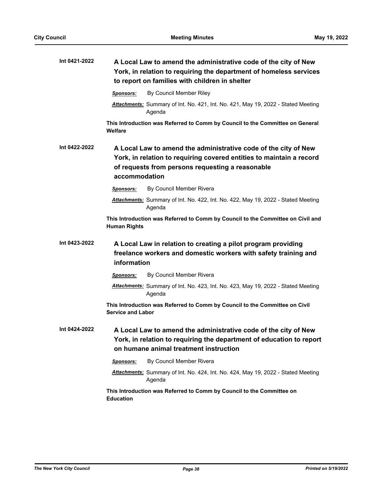| Int 0421-2022 | A Local Law to amend the administrative code of the city of New<br>York, in relation to requiring the department of homeless services<br>to report on families with children in shelter                      |
|---------------|--------------------------------------------------------------------------------------------------------------------------------------------------------------------------------------------------------------|
|               | By Council Member Riley<br><b>Sponsors:</b>                                                                                                                                                                  |
|               | Attachments: Summary of Int. No. 421, Int. No. 421, May 19, 2022 - Stated Meeting<br>Agenda                                                                                                                  |
|               | This Introduction was Referred to Comm by Council to the Committee on General<br>Welfare                                                                                                                     |
| Int 0422-2022 | A Local Law to amend the administrative code of the city of New<br>York, in relation to requiring covered entities to maintain a record<br>of requests from persons requesting a reasonable<br>accommodation |
|               | By Council Member Rivera<br><b>Sponsors:</b>                                                                                                                                                                 |
|               | Attachments: Summary of Int. No. 422, Int. No. 422, May 19, 2022 - Stated Meeting<br>Agenda                                                                                                                  |
|               | This Introduction was Referred to Comm by Council to the Committee on Civil and<br><b>Human Rights</b>                                                                                                       |
| Int 0423-2022 | A Local Law in relation to creating a pilot program providing<br>freelance workers and domestic workers with safety training and<br>information                                                              |
|               | By Council Member Rivera<br><b>Sponsors:</b>                                                                                                                                                                 |
|               | Attachments: Summary of Int. No. 423, Int. No. 423, May 19, 2022 - Stated Meeting<br>Agenda                                                                                                                  |
|               | This Introduction was Referred to Comm by Council to the Committee on Civil<br><b>Service and Labor</b>                                                                                                      |
| Int 0424-2022 | A Local Law to amend the administrative code of the city of New<br>York, in relation to requiring the department of education to report<br>on humane animal treatment instruction                            |
|               | By Council Member Rivera<br>Sponsors:                                                                                                                                                                        |
|               | Attachments: Summary of Int. No. 424, Int. No. 424, May 19, 2022 - Stated Meeting<br>Agenda                                                                                                                  |
|               | This Introduction was Referred to Comm by Council to the Committee on<br><b>Education</b>                                                                                                                    |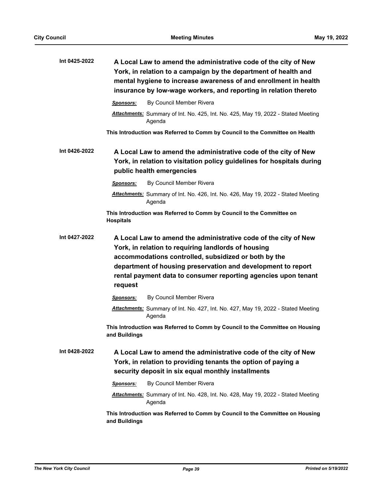| Int 0425-2022 | A Local Law to amend the administrative code of the city of New<br>York, in relation to a campaign by the department of health and<br>mental hygiene to increase awareness of and enrollment in health<br>insurance by low-wage workers, and reporting in relation thereto                                                  |
|---------------|-----------------------------------------------------------------------------------------------------------------------------------------------------------------------------------------------------------------------------------------------------------------------------------------------------------------------------|
|               | By Council Member Rivera<br><b>Sponsors:</b>                                                                                                                                                                                                                                                                                |
|               | Attachments: Summary of Int. No. 425, Int. No. 425, May 19, 2022 - Stated Meeting<br>Agenda                                                                                                                                                                                                                                 |
|               | This Introduction was Referred to Comm by Council to the Committee on Health                                                                                                                                                                                                                                                |
| Int 0426-2022 | A Local Law to amend the administrative code of the city of New<br>York, in relation to visitation policy guidelines for hospitals during<br>public health emergencies                                                                                                                                                      |
|               | By Council Member Rivera<br><b>Sponsors:</b>                                                                                                                                                                                                                                                                                |
|               | Attachments: Summary of Int. No. 426, Int. No. 426, May 19, 2022 - Stated Meeting<br>Agenda                                                                                                                                                                                                                                 |
|               | This Introduction was Referred to Comm by Council to the Committee on<br><b>Hospitals</b>                                                                                                                                                                                                                                   |
| Int 0427-2022 | A Local Law to amend the administrative code of the city of New<br>York, in relation to requiring landlords of housing<br>accommodations controlled, subsidized or both by the<br>department of housing preservation and development to report<br>rental payment data to consumer reporting agencies upon tenant<br>request |
|               | By Council Member Rivera<br>Sponsors:                                                                                                                                                                                                                                                                                       |
|               | Attachments: Summary of Int. No. 427, Int. No. 427, May 19, 2022 - Stated Meeting<br>Agenda                                                                                                                                                                                                                                 |
|               | This Introduction was Referred to Comm by Council to the Committee on Housing<br>and Buildings                                                                                                                                                                                                                              |
| Int 0428-2022 | A Local Law to amend the administrative code of the city of New<br>York, in relation to providing tenants the option of paying a<br>security deposit in six equal monthly installments                                                                                                                                      |
|               | By Council Member Rivera<br><b>Sponsors:</b>                                                                                                                                                                                                                                                                                |
|               | <b>Attachments:</b> Summary of Int. No. 428, Int. No. 428, May 19, 2022 - Stated Meeting<br>Agenda                                                                                                                                                                                                                          |
|               | This Introduction was Referred to Comm by Council to the Committee on Housing<br>and Buildings                                                                                                                                                                                                                              |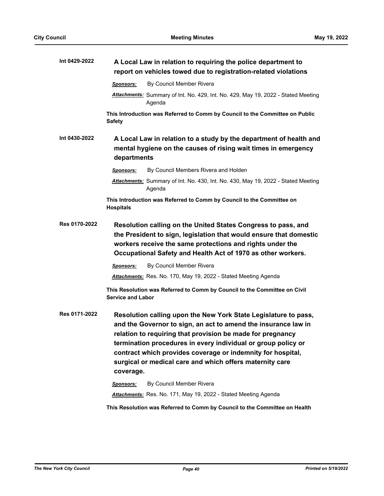| Int 0429-2022 | A Local Law in relation to requiring the police department to<br>report on vehicles towed due to registration-related violations                                                                                                                                                                                                                                                                                                     |
|---------------|--------------------------------------------------------------------------------------------------------------------------------------------------------------------------------------------------------------------------------------------------------------------------------------------------------------------------------------------------------------------------------------------------------------------------------------|
|               | By Council Member Rivera<br><b>Sponsors:</b>                                                                                                                                                                                                                                                                                                                                                                                         |
|               | Attachments: Summary of Int. No. 429, Int. No. 429, May 19, 2022 - Stated Meeting<br>Agenda                                                                                                                                                                                                                                                                                                                                          |
|               | This Introduction was Referred to Comm by Council to the Committee on Public<br><b>Safety</b>                                                                                                                                                                                                                                                                                                                                        |
| Int 0430-2022 | A Local Law in relation to a study by the department of health and<br>mental hygiene on the causes of rising wait times in emergency<br>departments                                                                                                                                                                                                                                                                                  |
|               | By Council Members Rivera and Holden<br><b>Sponsors:</b>                                                                                                                                                                                                                                                                                                                                                                             |
|               | Attachments: Summary of Int. No. 430, Int. No. 430, May 19, 2022 - Stated Meeting<br>Agenda                                                                                                                                                                                                                                                                                                                                          |
|               | This Introduction was Referred to Comm by Council to the Committee on<br><b>Hospitals</b>                                                                                                                                                                                                                                                                                                                                            |
| Res 0170-2022 | Resolution calling on the United States Congress to pass, and<br>the President to sign, legislation that would ensure that domestic<br>workers receive the same protections and rights under the<br>Occupational Safety and Health Act of 1970 as other workers.                                                                                                                                                                     |
|               | By Council Member Rivera<br>Sponsors:                                                                                                                                                                                                                                                                                                                                                                                                |
|               | Attachments: Res. No. 170, May 19, 2022 - Stated Meeting Agenda                                                                                                                                                                                                                                                                                                                                                                      |
|               | This Resolution was Referred to Comm by Council to the Committee on Civil<br><b>Service and Labor</b>                                                                                                                                                                                                                                                                                                                                |
| Res 0171-2022 | Resolution calling upon the New York State Legislature to pass,<br>and the Governor to sign, an act to amend the insurance law in<br>relation to requiring that provision be made for pregnancy<br>termination procedures in every individual or group policy or<br>contract which provides coverage or indemnity for hospital,<br>surgical or medical care and which offers maternity care<br>coverage.<br>By Council Member Rivera |
|               | Sponsors:<br>Attachments: Res. No. 171, May 19, 2022 - Stated Meeting Agenda                                                                                                                                                                                                                                                                                                                                                         |

**This Resolution was Referred to Comm by Council to the Committee on Health**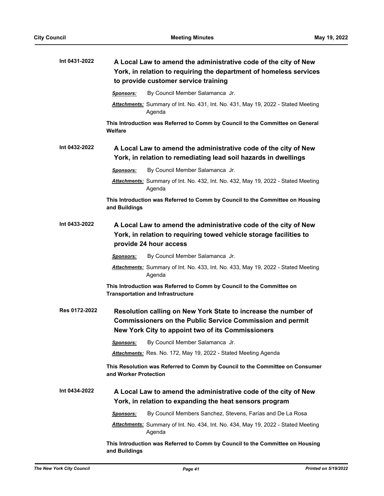| Int 0431-2022 | A Local Law to amend the administrative code of the city of New<br>York, in relation to requiring the department of homeless services<br>to provide customer service training    |
|---------------|----------------------------------------------------------------------------------------------------------------------------------------------------------------------------------|
|               | By Council Member Salamanca Jr.<br><b>Sponsors:</b>                                                                                                                              |
|               | Attachments: Summary of Int. No. 431, Int. No. 431, May 19, 2022 - Stated Meeting<br>Agenda                                                                                      |
|               | This Introduction was Referred to Comm by Council to the Committee on General<br>Welfare                                                                                         |
| Int 0432-2022 | A Local Law to amend the administrative code of the city of New<br>York, in relation to remediating lead soil hazards in dwellings                                               |
|               | By Council Member Salamanca Jr.<br><b>Sponsors:</b>                                                                                                                              |
|               | Attachments: Summary of Int. No. 432, Int. No. 432, May 19, 2022 - Stated Meeting<br>Agenda                                                                                      |
|               | This Introduction was Referred to Comm by Council to the Committee on Housing<br>and Buildings                                                                                   |
| Int 0433-2022 | A Local Law to amend the administrative code of the city of New<br>York, in relation to requiring towed vehicle storage facilities to<br>provide 24 hour access                  |
|               | By Council Member Salamanca Jr.<br>Sponsors:                                                                                                                                     |
|               | Attachments: Summary of Int. No. 433, Int. No. 433, May 19, 2022 - Stated Meeting<br>Agenda                                                                                      |
|               | This Introduction was Referred to Comm by Council to the Committee on<br><b>Transportation and Infrastructure</b>                                                                |
| Res 0172-2022 | Resolution calling on New York State to increase the number of<br>Commissioners on the Public Service Commission and permit<br>New York City to appoint two of its Commissioners |
|               | By Council Member Salamanca Jr.<br>Sponsors:                                                                                                                                     |
|               | Attachments: Res. No. 172, May 19, 2022 - Stated Meeting Agenda                                                                                                                  |
|               | This Resolution was Referred to Comm by Council to the Committee on Consumer<br>and Worker Protection                                                                            |
| Int 0434-2022 | A Local Law to amend the administrative code of the city of New<br>York, in relation to expanding the heat sensors program                                                       |
|               | By Council Members Sanchez, Stevens, Farías and De La Rosa<br>Sponsors:                                                                                                          |
|               | Attachments: Summary of Int. No. 434, Int. No. 434, May 19, 2022 - Stated Meeting<br>Agenda                                                                                      |
|               | This Introduction was Referred to Comm by Council to the Committee on Housing<br>and Buildings                                                                                   |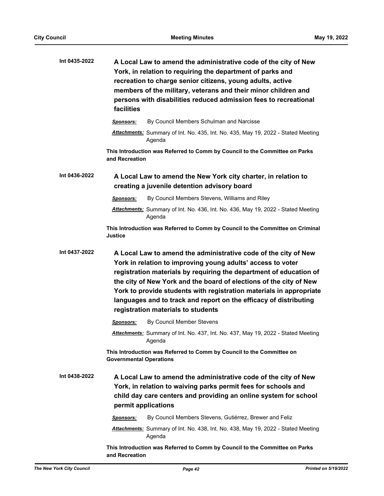| Int 0435-2022 | A Local Law to amend the administrative code of the city of New<br>York, in relation to requiring the department of parks and<br>recreation to charge senior citizens, young adults, active<br>members of the military, veterans and their minor children and<br>persons with disabilities reduced admission fees to recreational<br>facilities                                                                                                              |
|---------------|--------------------------------------------------------------------------------------------------------------------------------------------------------------------------------------------------------------------------------------------------------------------------------------------------------------------------------------------------------------------------------------------------------------------------------------------------------------|
|               | By Council Members Schulman and Narcisse<br>Sponsors:                                                                                                                                                                                                                                                                                                                                                                                                        |
|               | Attachments: Summary of Int. No. 435, Int. No. 435, May 19, 2022 - Stated Meeting<br>Agenda                                                                                                                                                                                                                                                                                                                                                                  |
|               | This Introduction was Referred to Comm by Council to the Committee on Parks<br>and Recreation                                                                                                                                                                                                                                                                                                                                                                |
| Int 0436-2022 | A Local Law to amend the New York city charter, in relation to<br>creating a juvenile detention advisory board                                                                                                                                                                                                                                                                                                                                               |
|               | By Council Members Stevens, Williams and Riley<br><b>Sponsors:</b>                                                                                                                                                                                                                                                                                                                                                                                           |
|               | Attachments: Summary of Int. No. 436, Int. No. 436, May 19, 2022 - Stated Meeting<br>Agenda                                                                                                                                                                                                                                                                                                                                                                  |
|               | This Introduction was Referred to Comm by Council to the Committee on Criminal<br><b>Justice</b>                                                                                                                                                                                                                                                                                                                                                             |
| Int 0437-2022 | A Local Law to amend the administrative code of the city of New<br>York in relation to improving young adults' access to voter<br>registration materials by requiring the department of education of<br>the city of New York and the board of elections of the city of New<br>York to provide students with registration materials in appropriate<br>languages and to track and report on the efficacy of distributing<br>registration materials to students |
|               | By Council Member Stevens<br><b>Sponsors:</b>                                                                                                                                                                                                                                                                                                                                                                                                                |
|               | Attachments: Summary of Int. No. 437, Int. No. 437, May 19, 2022 - Stated Meeting<br>Agenda                                                                                                                                                                                                                                                                                                                                                                  |
|               | This Introduction was Referred to Comm by Council to the Committee on<br><b>Governmental Operations</b>                                                                                                                                                                                                                                                                                                                                                      |
| Int 0438-2022 | A Local Law to amend the administrative code of the city of New<br>York, in relation to waiving parks permit fees for schools and<br>child day care centers and providing an online system for school<br>permit applications                                                                                                                                                                                                                                 |
|               | By Council Members Stevens, Gutiérrez, Brewer and Feliz<br><b>Sponsors:</b>                                                                                                                                                                                                                                                                                                                                                                                  |
|               | Attachments: Summary of Int. No. 438, Int. No. 438, May 19, 2022 - Stated Meeting<br>Agenda                                                                                                                                                                                                                                                                                                                                                                  |
|               | This Introduction was Referred to Comm by Council to the Committee on Parks<br>and Recreation                                                                                                                                                                                                                                                                                                                                                                |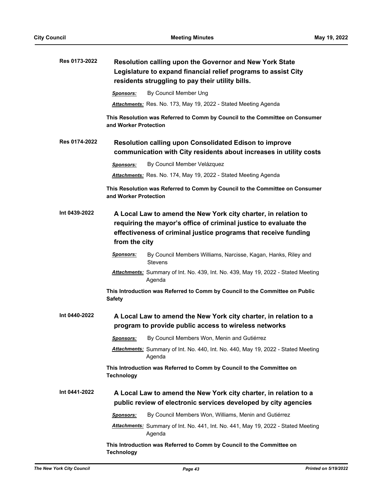| Res 0173-2022 | Resolution calling upon the Governor and New York State<br>Legislature to expand financial relief programs to assist City<br>residents struggling to pay their utility bills.                                          |
|---------------|------------------------------------------------------------------------------------------------------------------------------------------------------------------------------------------------------------------------|
|               | By Council Member Ung<br>Sponsors:                                                                                                                                                                                     |
|               | Attachments: Res. No. 173, May 19, 2022 - Stated Meeting Agenda                                                                                                                                                        |
|               | This Resolution was Referred to Comm by Council to the Committee on Consumer<br>and Worker Protection                                                                                                                  |
| Res 0174-2022 | Resolution calling upon Consolidated Edison to improve<br>communication with City residents about increases in utility costs                                                                                           |
|               | By Council Member Velázquez<br><b>Sponsors:</b>                                                                                                                                                                        |
|               | Attachments: Res. No. 174, May 19, 2022 - Stated Meeting Agenda                                                                                                                                                        |
|               | This Resolution was Referred to Comm by Council to the Committee on Consumer<br>and Worker Protection                                                                                                                  |
| Int 0439-2022 | A Local Law to amend the New York city charter, in relation to<br>requiring the mayor's office of criminal justice to evaluate the<br>effectiveness of criminal justice programs that receive funding<br>from the city |
|               | Sponsors:<br>By Council Members Williams, Narcisse, Kagan, Hanks, Riley and<br><b>Stevens</b>                                                                                                                          |
|               | Attachments: Summary of Int. No. 439, Int. No. 439, May 19, 2022 - Stated Meeting<br>Agenda                                                                                                                            |
|               | This Introduction was Referred to Comm by Council to the Committee on Public<br><b>Safety</b>                                                                                                                          |
| Int 0440-2022 | A Local Law to amend the New York city charter, in relation to a<br>program to provide public access to wireless networks                                                                                              |
|               | By Council Members Won, Menin and Gutiérrez<br><b>Sponsors:</b>                                                                                                                                                        |
|               | <b>Attachments:</b> Summary of Int. No. 440, Int. No. 440, May 19, 2022 - Stated Meeting<br>Agenda                                                                                                                     |
|               | This Introduction was Referred to Comm by Council to the Committee on<br><b>Technology</b>                                                                                                                             |
| Int 0441-2022 | A Local Law to amend the New York city charter, in relation to a<br>public review of electronic services developed by city agencies                                                                                    |
|               | By Council Members Won, Williams, Menin and Gutiérrez<br>Sponsors:                                                                                                                                                     |
|               | Attachments: Summary of Int. No. 441, Int. No. 441, May 19, 2022 - Stated Meeting<br>Agenda                                                                                                                            |
|               | This Introduction was Referred to Comm by Council to the Committee on<br><b>Technology</b>                                                                                                                             |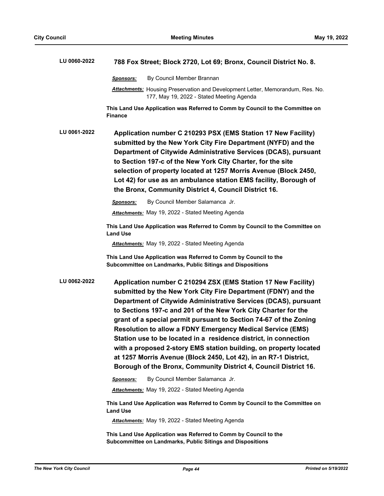| LU 0060-2022 | 788 Fox Street; Block 2720, Lot 69; Bronx, Council District No. 8.                                                                                                                                                                                                                                                                                                                                                                                                                                                                                                                                                                                                                             |
|--------------|------------------------------------------------------------------------------------------------------------------------------------------------------------------------------------------------------------------------------------------------------------------------------------------------------------------------------------------------------------------------------------------------------------------------------------------------------------------------------------------------------------------------------------------------------------------------------------------------------------------------------------------------------------------------------------------------|
|              | By Council Member Brannan<br>Sponsors:                                                                                                                                                                                                                                                                                                                                                                                                                                                                                                                                                                                                                                                         |
|              | Attachments: Housing Preservation and Development Letter, Memorandum, Res. No.<br>177, May 19, 2022 - Stated Meeting Agenda                                                                                                                                                                                                                                                                                                                                                                                                                                                                                                                                                                    |
|              | This Land Use Application was Referred to Comm by Council to the Committee on<br><b>Finance</b>                                                                                                                                                                                                                                                                                                                                                                                                                                                                                                                                                                                                |
| LU 0061-2022 | Application number C 210293 PSX (EMS Station 17 New Facility)<br>submitted by the New York City Fire Department (NYFD) and the<br>Department of Citywide Administrative Services (DCAS), pursuant<br>to Section 197-c of the New York City Charter, for the site<br>selection of property located at 1257 Morris Avenue (Block 2450,<br>Lot 42) for use as an ambulance station EMS facility, Borough of<br>the Bronx, Community District 4, Council District 16.                                                                                                                                                                                                                              |
|              | By Council Member Salamanca Jr.<br>Sponsors:                                                                                                                                                                                                                                                                                                                                                                                                                                                                                                                                                                                                                                                   |
|              | <b>Attachments:</b> May 19, 2022 - Stated Meeting Agenda                                                                                                                                                                                                                                                                                                                                                                                                                                                                                                                                                                                                                                       |
|              | This Land Use Application was Referred to Comm by Council to the Committee on<br><b>Land Use</b>                                                                                                                                                                                                                                                                                                                                                                                                                                                                                                                                                                                               |
|              | <b>Attachments:</b> May 19, 2022 - Stated Meeting Agenda                                                                                                                                                                                                                                                                                                                                                                                                                                                                                                                                                                                                                                       |
|              | This Land Use Application was Referred to Comm by Council to the<br>Subcommittee on Landmarks, Public Sitings and Dispositions                                                                                                                                                                                                                                                                                                                                                                                                                                                                                                                                                                 |
| LU 0062-2022 | Application number C 210294 ZSX (EMS Station 17 New Facility)<br>submitted by the New York City Fire Department (FDNY) and the<br>Department of Citywide Administrative Services (DCAS), pursuant<br>to Sections 197-c and 201 of the New York City Charter for the<br>grant of a special permit pursuant to Section 74-67 of the Zoning<br><b>Resolution to allow a FDNY Emergency Medical Service (EMS)</b><br>Station use to be located in a residence district, in connection<br>with a proposed 2-story EMS station building, on property located<br>at 1257 Morris Avenue (Block 2450, Lot 42), in an R7-1 District,<br>Borough of the Bronx, Community District 4, Council District 16. |
|              | By Council Member Salamanca Jr.<br>Sponsors:                                                                                                                                                                                                                                                                                                                                                                                                                                                                                                                                                                                                                                                   |
|              | <b>Attachments:</b> May 19, 2022 - Stated Meeting Agenda                                                                                                                                                                                                                                                                                                                                                                                                                                                                                                                                                                                                                                       |
|              | This Land Use Application was Referred to Comm by Council to the Committee on<br><b>Land Use</b>                                                                                                                                                                                                                                                                                                                                                                                                                                                                                                                                                                                               |
|              | <b>Attachments:</b> May 19, 2022 - Stated Meeting Agenda                                                                                                                                                                                                                                                                                                                                                                                                                                                                                                                                                                                                                                       |
|              | This Land Use Application was Referred to Comm by Council to the<br>Subcommittee on Landmarks, Public Sitings and Dispositions                                                                                                                                                                                                                                                                                                                                                                                                                                                                                                                                                                 |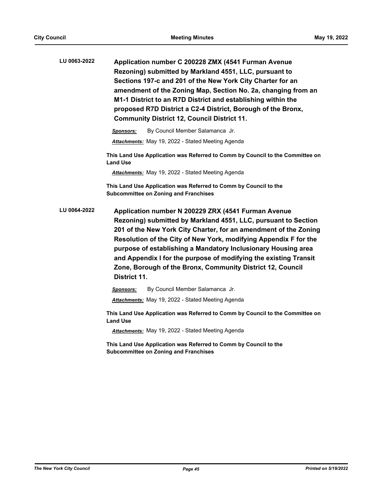| LU 0063-2022 | Application number C 200228 ZMX (4541 Furman Avenue<br>Rezoning) submitted by Markland 4551, LLC, pursuant to<br>Sections 197-c and 201 of the New York City Charter for an<br>amendment of the Zoning Map, Section No. 2a, changing from an<br>M1-1 District to an R7D District and establishing within the<br>proposed R7D District a C2-4 District, Borough of the Bronx,<br><b>Community District 12, Council District 11.</b>                                               |
|--------------|----------------------------------------------------------------------------------------------------------------------------------------------------------------------------------------------------------------------------------------------------------------------------------------------------------------------------------------------------------------------------------------------------------------------------------------------------------------------------------|
|              | By Council Member Salamanca Jr.<br><b>Sponsors:</b>                                                                                                                                                                                                                                                                                                                                                                                                                              |
|              | Attachments: May 19, 2022 - Stated Meeting Agenda                                                                                                                                                                                                                                                                                                                                                                                                                                |
|              | This Land Use Application was Referred to Comm by Council to the Committee on<br><b>Land Use</b>                                                                                                                                                                                                                                                                                                                                                                                 |
|              | <b>Attachments:</b> May 19, 2022 - Stated Meeting Agenda                                                                                                                                                                                                                                                                                                                                                                                                                         |
|              | This Land Use Application was Referred to Comm by Council to the<br><b>Subcommittee on Zoning and Franchises</b>                                                                                                                                                                                                                                                                                                                                                                 |
| LU 0064-2022 | Application number N 200229 ZRX (4541 Furman Avenue<br>Rezoning) submitted by Markland 4551, LLC, pursuant to Section<br>201 of the New York City Charter, for an amendment of the Zoning<br>Resolution of the City of New York, modifying Appendix F for the<br>purpose of establishing a Mandatory Inclusionary Housing area<br>and Appendix I for the purpose of modifying the existing Transit<br>Zone, Borough of the Bronx, Community District 12, Council<br>District 11. |
|              | By Council Member Salamanca Jr.<br>Sponsors:                                                                                                                                                                                                                                                                                                                                                                                                                                     |
|              | <b>Attachments:</b> May 19, 2022 - Stated Meeting Agenda                                                                                                                                                                                                                                                                                                                                                                                                                         |
|              | This Land Use Application was Referred to Comm by Council to the Committee on<br><b>Land Use</b>                                                                                                                                                                                                                                                                                                                                                                                 |
|              | <b>Attachments:</b> May 19, 2022 - Stated Meeting Agenda                                                                                                                                                                                                                                                                                                                                                                                                                         |
|              | This Land Use Application was Referred to Comm by Council to the<br><b>Subcommittee on Zoning and Franchises</b>                                                                                                                                                                                                                                                                                                                                                                 |